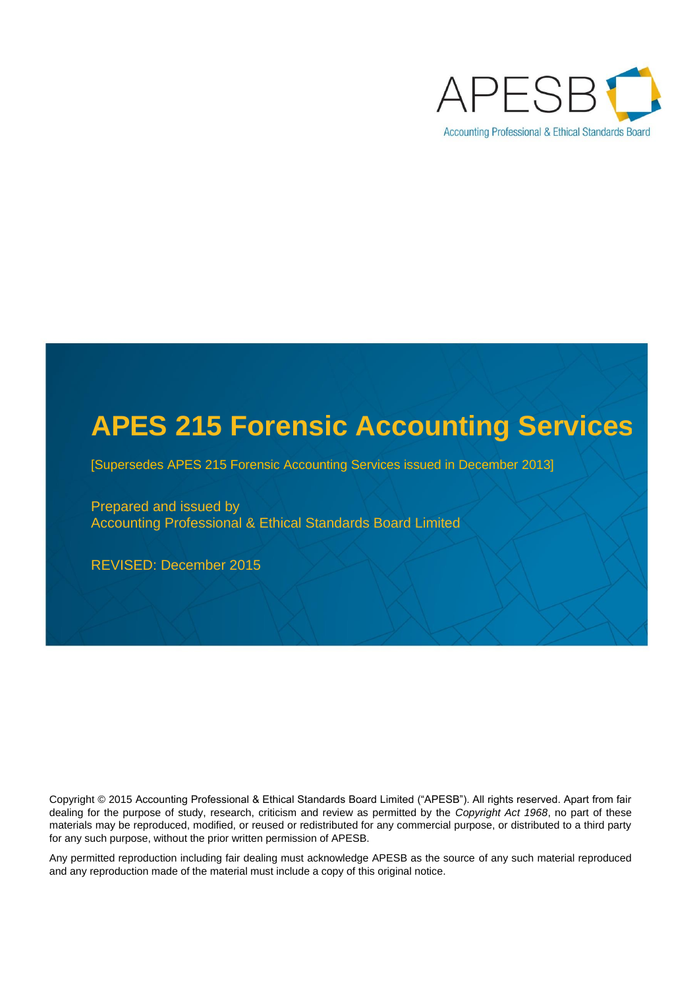

# **APES 215 Forensic Accounting Services**

**Proposed Standard: APES 315 Compilation of** 

[Supersedes APES 215 Forensic Accounting Services issued in December 2013]

**Prepared and issued by Ethical Standards Board Limited Board Limited Board Limited Board Limited Board Limited Board Limited Board Limited Board Limited Board Limited Board Limited Board Limited Board Limited Board Limite** Prepared and issued by Accounting Professional & Ethical Standards Board Limited

REVISED: December 2015

Copyright © 2015 Accounting Professional & Ethical Standards Board Limited ("APESB"). All rights reserved. Apart from fair dealing for the purpose of study, research, criticism and review as permitted by the *Copyright Act 1968*, no part of these APES 315 *Compilation of Financial Information* contains material from *International Standard on Related Services (ISRS) 4410,*  for any such purpose, without the prior written permission of APESB. materials may be reproduced, modified, or reused or redistributed for any commercial purpose, or distributed to a third party

Any permitted reproduction including fair dealing must acknowledge APESB as the source of any such material reproduced and any reproduction made of the material must include a copy of this original notice.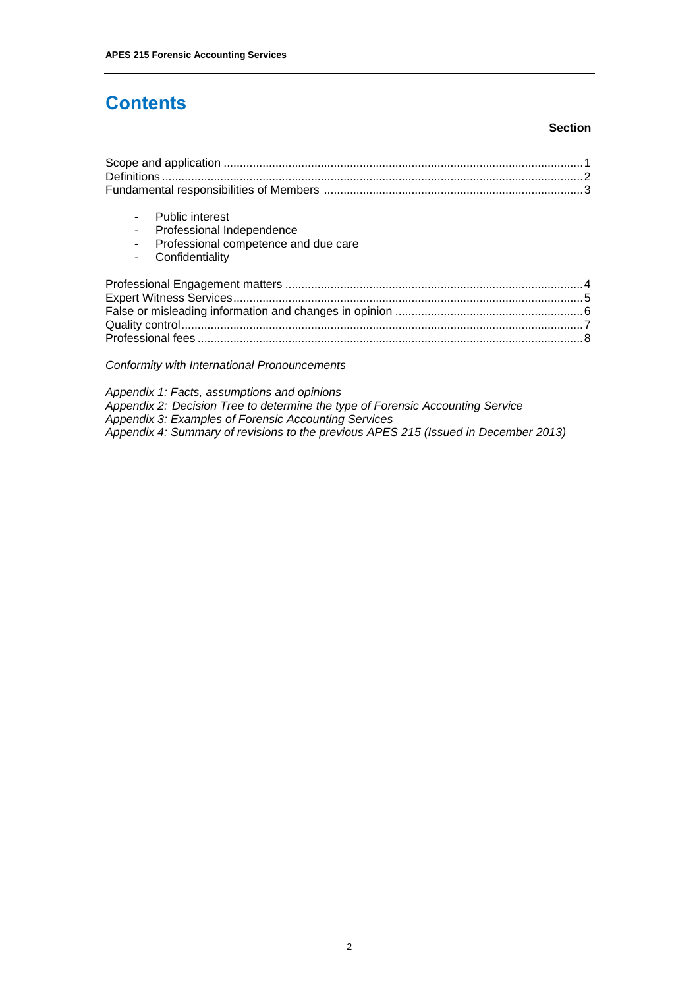# **Contents**

#### **Section**

| <b>Public interest</b><br>Professional Independence<br>Professional competence and due care<br>Confidentiality |  |
|----------------------------------------------------------------------------------------------------------------|--|
|                                                                                                                |  |
|                                                                                                                |  |

*Conformity with International Pronouncements*

*Appendix 1: Facts, assumptions and opinions Appendix 2: Decision Tree to determine the type of Forensic Accounting Service Appendix 3: Examples of Forensic Accounting Services Appendix 4: Summary of revisions to the previous APES 215 (Issued in December 2013)*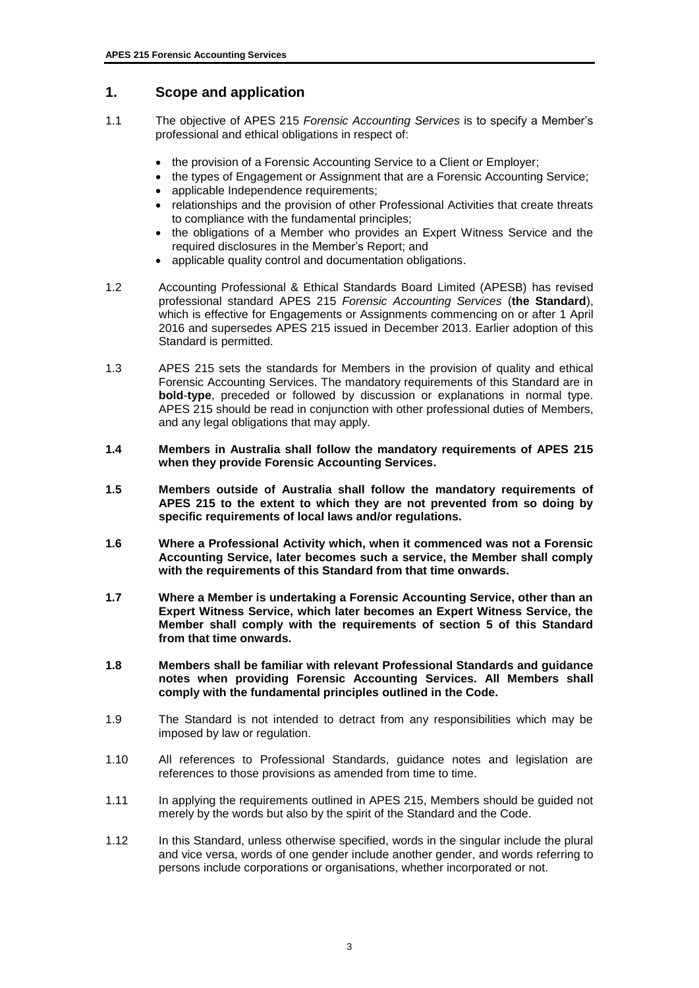## **1. Scope and application**

- 1.1 The objective of APES 215 *Forensic Accounting Services* is to specify a Member's professional and ethical obligations in respect of:
	- the provision of a Forensic Accounting Service to a Client or Employer;
	- the types of Engagement or Assignment that are a Forensic Accounting Service;
	- applicable Independence requirements;
	- relationships and the provision of other Professional Activities that create threats to compliance with the fundamental principles;
	- the obligations of a Member who provides an Expert Witness Service and the required disclosures in the Member's Report; and
	- applicable quality control and documentation obligations.
- 1.2 Accounting Professional & Ethical Standards Board Limited (APESB) has revised professional standard APES 215 *Forensic Accounting Services* (**the Standard**), which is effective for Engagements or Assignments commencing on or after 1 April 2016 and supersedes APES 215 issued in December 2013. Earlier adoption of this Standard is permitted.
- 1.3 APES 215 sets the standards for Members in the provision of quality and ethical Forensic Accounting Services. The mandatory requirements of this Standard are in **bold**-**type**, preceded or followed by discussion or explanations in normal type. APES 215 should be read in conjunction with other professional duties of Members, and any legal obligations that may apply.
- **1.4 Members in Australia shall follow the mandatory requirements of APES 215 when they provide Forensic Accounting Services.**
- **1.5 Members outside of Australia shall follow the mandatory requirements of APES 215 to the extent to which they are not prevented from so doing by specific requirements of local laws and/or regulations.**
- **1.6 Where a Professional Activity which, when it commenced was not a Forensic Accounting Service, later becomes such a service, the Member shall comply with the requirements of this Standard from that time onwards.**
- **1.7 Where a Member is undertaking a Forensic Accounting Service, other than an Expert Witness Service, which later becomes an Expert Witness Service, the Member shall comply with the requirements of section 5 of this Standard from that time onwards.**
- **1.8 Members shall be familiar with relevant Professional Standards and guidance notes when providing Forensic Accounting Services. All Members shall comply with the fundamental principles outlined in the Code.**
- 1.9 The Standard is not intended to detract from any responsibilities which may be imposed by law or regulation.
- 1.10 All references to Professional Standards, guidance notes and legislation are references to those provisions as amended from time to time.
- 1.11 In applying the requirements outlined in APES 215, Members should be guided not merely by the words but also by the spirit of the Standard and the Code.
- 1.12 In this Standard, unless otherwise specified, words in the singular include the plural and vice versa, words of one gender include another gender, and words referring to persons include corporations or organisations, whether incorporated or not.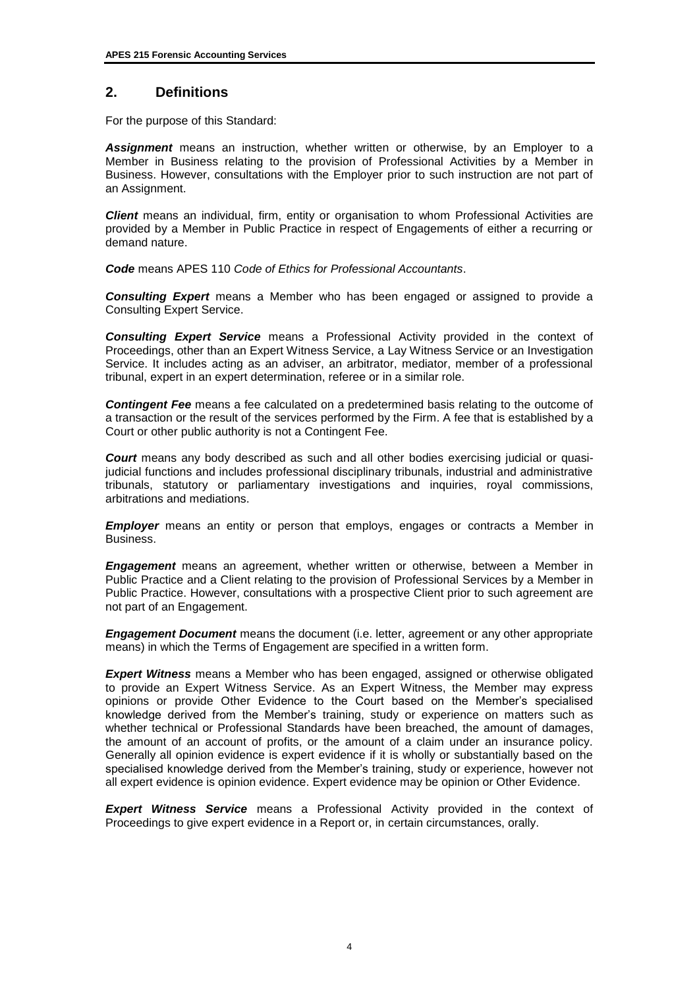## **2. Definitions**

For the purpose of this Standard:

*Assignment* means an instruction, whether written or otherwise, by an Employer to a Member in Business relating to the provision of Professional Activities by a Member in Business. However, consultations with the Employer prior to such instruction are not part of an Assignment.

*Client* means an individual, firm, entity or organisation to whom Professional Activities are provided by a Member in Public Practice in respect of Engagements of either a recurring or demand nature.

*Code* means APES 110 *Code of Ethics for Professional Accountants*.

*Consulting Expert* means a Member who has been engaged or assigned to provide a Consulting Expert Service.

*Consulting Expert Service* means a Professional Activity provided in the context of Proceedings, other than an Expert Witness Service, a Lay Witness Service or an Investigation Service. It includes acting as an adviser, an arbitrator, mediator, member of a professional tribunal, expert in an expert determination, referee or in a similar role.

*Contingent Fee* means a fee calculated on a predetermined basis relating to the outcome of a transaction or the result of the services performed by the Firm. A fee that is established by a Court or other public authority is not a Contingent Fee.

*Court* means any body described as such and all other bodies exercising judicial or quasijudicial functions and includes professional disciplinary tribunals, industrial and administrative tribunals, statutory or parliamentary investigations and inquiries, royal commissions, arbitrations and mediations.

*Employer* means an entity or person that employs, engages or contracts a Member in Business.

*Engagement* means an agreement, whether written or otherwise, between a Member in Public Practice and a Client relating to the provision of Professional Services by a Member in Public Practice. However, consultations with a prospective Client prior to such agreement are not part of an Engagement.

*Engagement Document* means the document (i.e. letter, agreement or any other appropriate means) in which the Terms of Engagement are specified in a written form.

*Expert Witness* means a Member who has been engaged, assigned or otherwise obligated to provide an Expert Witness Service. As an Expert Witness, the Member may express opinions or provide Other Evidence to the Court based on the Member's specialised knowledge derived from the Member's training, study or experience on matters such as whether technical or Professional Standards have been breached, the amount of damages, the amount of an account of profits, or the amount of a claim under an insurance policy. Generally all opinion evidence is expert evidence if it is wholly or substantially based on the specialised knowledge derived from the Member's training, study or experience, however not all expert evidence is opinion evidence. Expert evidence may be opinion or Other Evidence.

*Expert Witness Service* means a Professional Activity provided in the context of Proceedings to give expert evidence in a Report or, in certain circumstances, orally.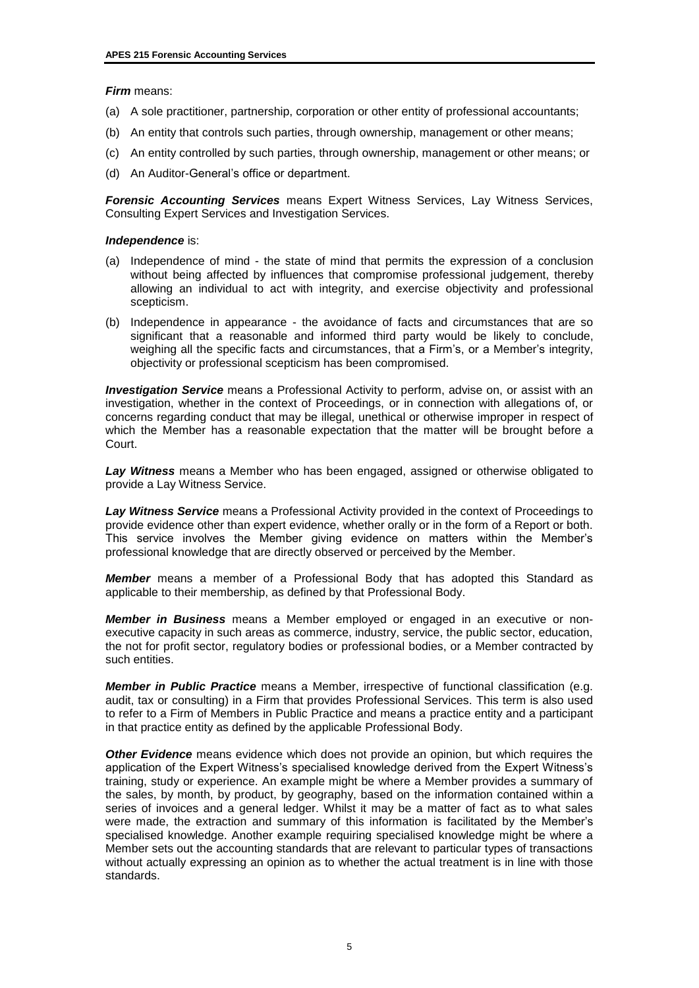#### *Firm* means:

- (a) A sole practitioner, partnership, corporation or other entity of professional accountants;
- (b) An entity that controls such parties, through ownership, management or other means;
- (c) An entity controlled by such parties, through ownership, management or other means; or
- (d) An Auditor-General's office or department.

*Forensic Accounting Services* means Expert Witness Services, Lay Witness Services, Consulting Expert Services and Investigation Services.

#### *Independence* is:

- (a) Independence of mind the state of mind that permits the expression of a conclusion without being affected by influences that compromise professional judgement, thereby allowing an individual to act with integrity, and exercise objectivity and professional scepticism.
- (b) Independence in appearance the avoidance of facts and circumstances that are so significant that a reasonable and informed third party would be likely to conclude, weighing all the specific facts and circumstances, that a Firm's, or a Member's integrity, objectivity or professional scepticism has been compromised.

*Investigation Service* means a Professional Activity to perform, advise on, or assist with an investigation, whether in the context of Proceedings, or in connection with allegations of, or concerns regarding conduct that may be illegal, unethical or otherwise improper in respect of which the Member has a reasonable expectation that the matter will be brought before a Court.

*Lay Witness* means a Member who has been engaged, assigned or otherwise obligated to provide a Lay Witness Service.

*Lay Witness Service* means a Professional Activity provided in the context of Proceedings to provide evidence other than expert evidence, whether orally or in the form of a Report or both. This service involves the Member giving evidence on matters within the Member's professional knowledge that are directly observed or perceived by the Member.

*Member* means a member of a Professional Body that has adopted this Standard as applicable to their membership, as defined by that Professional Body.

*Member in Business* means a Member employed or engaged in an executive or nonexecutive capacity in such areas as commerce, industry, service, the public sector, education, the not for profit sector, regulatory bodies or professional bodies, or a Member contracted by such entities.

*Member in Public Practice* means a Member, irrespective of functional classification (e.g. audit, tax or consulting) in a Firm that provides Professional Services. This term is also used to refer to a Firm of Members in Public Practice and means a practice entity and a participant in that practice entity as defined by the applicable Professional Body.

*Other Evidence* means evidence which does not provide an opinion, but which requires the application of the Expert Witness's specialised knowledge derived from the Expert Witness's training, study or experience. An example might be where a Member provides a summary of the sales, by month, by product, by geography, based on the information contained within a series of invoices and a general ledger. Whilst it may be a matter of fact as to what sales were made, the extraction and summary of this information is facilitated by the Member's specialised knowledge. Another example requiring specialised knowledge might be where a Member sets out the accounting standards that are relevant to particular types of transactions without actually expressing an opinion as to whether the actual treatment is in line with those standards.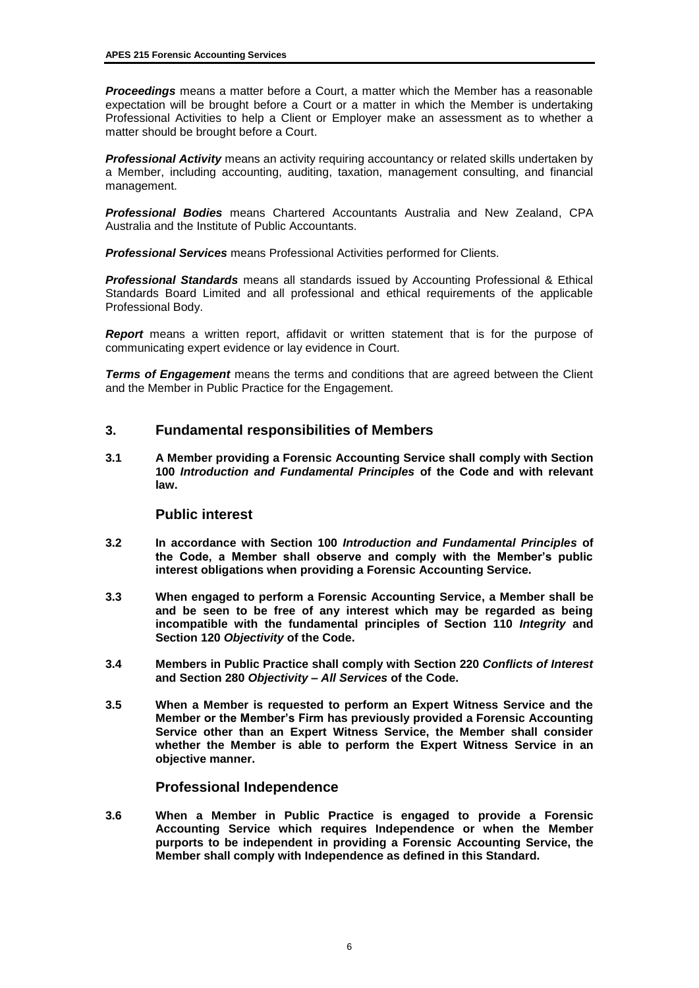*Proceedings* means a matter before a Court, a matter which the Member has a reasonable expectation will be brought before a Court or a matter in which the Member is undertaking Professional Activities to help a Client or Employer make an assessment as to whether a matter should be brought before a Court.

*Professional Activity* means an activity requiring accountancy or related skills undertaken by a Member, including accounting, auditing, taxation, management consulting, and financial management.

*Professional Bodies* means Chartered Accountants Australia and New Zealand, CPA Australia and the Institute of Public Accountants.

*Professional Services* means Professional Activities performed for Clients.

*Professional Standards* means all standards issued by Accounting Professional & Ethical Standards Board Limited and all professional and ethical requirements of the applicable Professional Body.

*Report* means a written report, affidavit or written statement that is for the purpose of communicating expert evidence or lay evidence in Court.

**Terms of Engagement** means the terms and conditions that are agreed between the Client and the Member in Public Practice for the Engagement.

#### **3. Fundamental responsibilities of Members**

**3.1 A Member providing a Forensic Accounting Service shall comply with Section 100** *Introduction and Fundamental Principles* **of the Code and with relevant law.**

#### **Public interest**

- **3.2 In accordance with Section 100** *Introduction and Fundamental Principles* **of the Code, a Member shall observe and comply with the Member's public interest obligations when providing a Forensic Accounting Service.**
- **3.3 When engaged to perform a Forensic Accounting Service, a Member shall be and be seen to be free of any interest which may be regarded as being incompatible with the fundamental principles of Section 110** *Integrity* **and Section 120** *Objectivity* **of the Code.**
- **3.4 Members in Public Practice shall comply with Section 220** *Conflicts of Interest*  **and Section 280** *Objectivity – All Services* **of the Code.**
- **3.5 When a Member is requested to perform an Expert Witness Service and the Member or the Member's Firm has previously provided a Forensic Accounting Service other than an Expert Witness Service, the Member shall consider whether the Member is able to perform the Expert Witness Service in an objective manner.**

#### **Professional Independence**

**3.6 When a Member in Public Practice is engaged to provide a Forensic Accounting Service which requires Independence or when the Member purports to be independent in providing a Forensic Accounting Service, the Member shall comply with Independence as defined in this Standard.**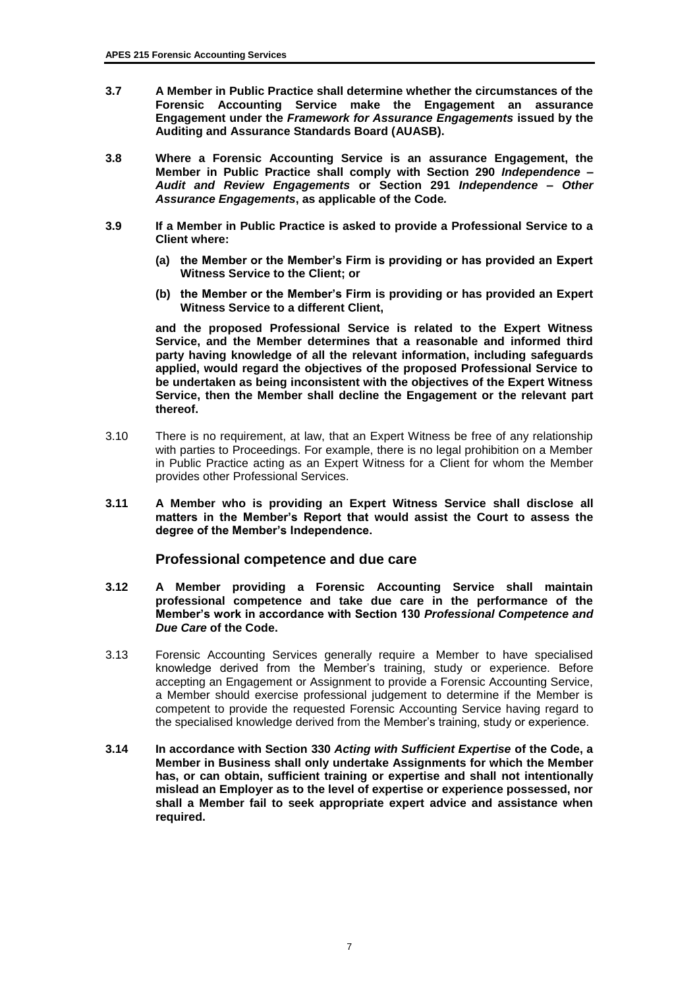- **3.7 A Member in Public Practice shall determine whether the circumstances of the Forensic Accounting Service make the Engagement an assurance Engagement under the** *Framework for Assurance Engagements* **issued by the Auditing and Assurance Standards Board (AUASB).**
- **3.8 Where a Forensic Accounting Service is an assurance Engagement, the Member in Public Practice shall comply with Section 290** *Independence – Audit and Review Engagements* **or Section 291** *Independence – Other Assurance Engagements***, as applicable of the Code***.*
- **3.9 If a Member in Public Practice is asked to provide a Professional Service to a Client where:**
	- **(a) the Member or the Member's Firm is providing or has provided an Expert Witness Service to the Client; or**
	- **(b) the Member or the Member's Firm is providing or has provided an Expert Witness Service to a different Client,**

**and the proposed Professional Service is related to the Expert Witness Service, and the Member determines that a reasonable and informed third party having knowledge of all the relevant information, including safeguards applied, would regard the objectives of the proposed Professional Service to be undertaken as being inconsistent with the objectives of the Expert Witness Service, then the Member shall decline the Engagement or the relevant part thereof.**

- 3.10 There is no requirement, at law, that an Expert Witness be free of any relationship with parties to Proceedings. For example, there is no legal prohibition on a Member in Public Practice acting as an Expert Witness for a Client for whom the Member provides other Professional Services.
- **3.11 A Member who is providing an Expert Witness Service shall disclose all matters in the Member's Report that would assist the Court to assess the degree of the Member's Independence.**

#### **Professional competence and due care**

- **3.12 A Member providing a Forensic Accounting Service shall maintain professional competence and take due care in the performance of the Member's work in accordance with Section 130** *Professional Competence and Due Care* **of the Code.**
- 3.13 Forensic Accounting Services generally require a Member to have specialised knowledge derived from the Member's training, study or experience. Before accepting an Engagement or Assignment to provide a Forensic Accounting Service, a Member should exercise professional judgement to determine if the Member is competent to provide the requested Forensic Accounting Service having regard to the specialised knowledge derived from the Member's training, study or experience.
- **3.14 In accordance with Section 330** *Acting with Sufficient Expertise* **of the Code, a Member in Business shall only undertake Assignments for which the Member has, or can obtain, sufficient training or expertise and shall not intentionally mislead an Employer as to the level of expertise or experience possessed, nor shall a Member fail to seek appropriate expert advice and assistance when required.**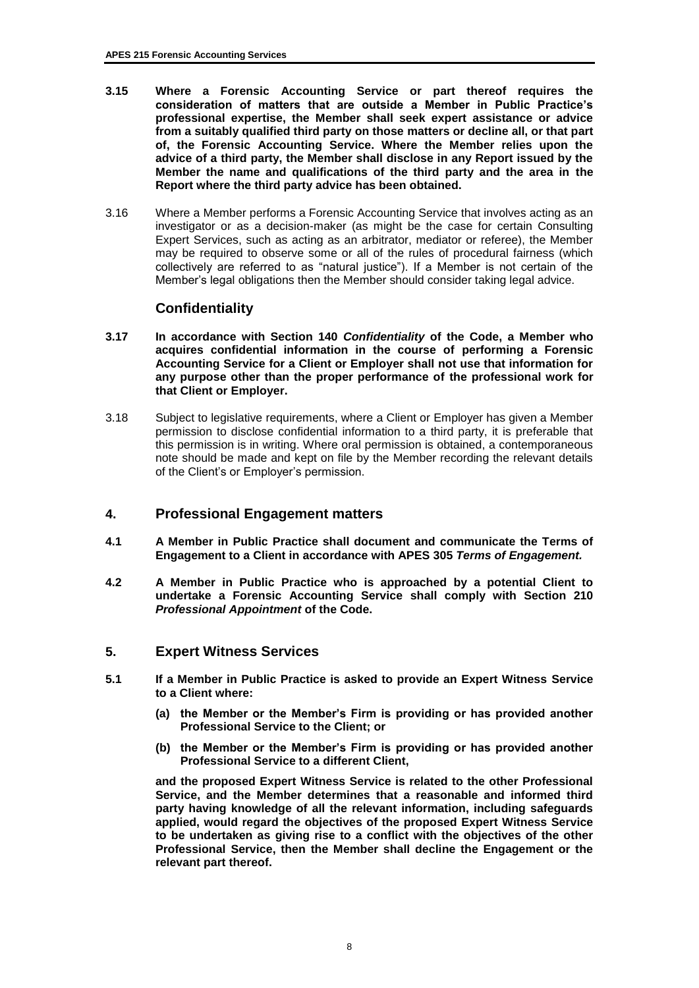- **3.15 Where a Forensic Accounting Service or part thereof requires the consideration of matters that are outside a Member in Public Practice's professional expertise, the Member shall seek expert assistance or advice from a suitably qualified third party on those matters or decline all, or that part of, the Forensic Accounting Service. Where the Member relies upon the advice of a third party, the Member shall disclose in any Report issued by the Member the name and qualifications of the third party and the area in the Report where the third party advice has been obtained.**
- 3.16 Where a Member performs a Forensic Accounting Service that involves acting as an investigator or as a decision-maker (as might be the case for certain Consulting Expert Services, such as acting as an arbitrator, mediator or referee), the Member may be required to observe some or all of the rules of procedural fairness (which collectively are referred to as "natural justice"). If a Member is not certain of the Member's legal obligations then the Member should consider taking legal advice.

## **Confidentiality**

- **3.17 In accordance with Section 140** *Confidentiality* **of the Code, a Member who acquires confidential information in the course of performing a Forensic Accounting Service for a Client or Employer shall not use that information for any purpose other than the proper performance of the professional work for that Client or Employer.**
- 3.18 Subject to legislative requirements, where a Client or Employer has given a Member permission to disclose confidential information to a third party, it is preferable that this permission is in writing. Where oral permission is obtained, a contemporaneous note should be made and kept on file by the Member recording the relevant details of the Client's or Employer's permission.

## **4. Professional Engagement matters**

- **4.1 A Member in Public Practice shall document and communicate the Terms of Engagement to a Client in accordance with APES 305** *Terms of Engagement.*
- **4.2 A Member in Public Practice who is approached by a potential Client to undertake a Forensic Accounting Service shall comply with Section 210**  *Professional Appointment* **of the Code.**

#### **5. Expert Witness Services**

- **5.1 If a Member in Public Practice is asked to provide an Expert Witness Service to a Client where:**
	- **(a) the Member or the Member's Firm is providing or has provided another Professional Service to the Client; or**
	- **(b) the Member or the Member's Firm is providing or has provided another Professional Service to a different Client,**

**and the proposed Expert Witness Service is related to the other Professional Service, and the Member determines that a reasonable and informed third party having knowledge of all the relevant information, including safeguards applied, would regard the objectives of the proposed Expert Witness Service to be undertaken as giving rise to a conflict with the objectives of the other Professional Service, then the Member shall decline the Engagement or the relevant part thereof.**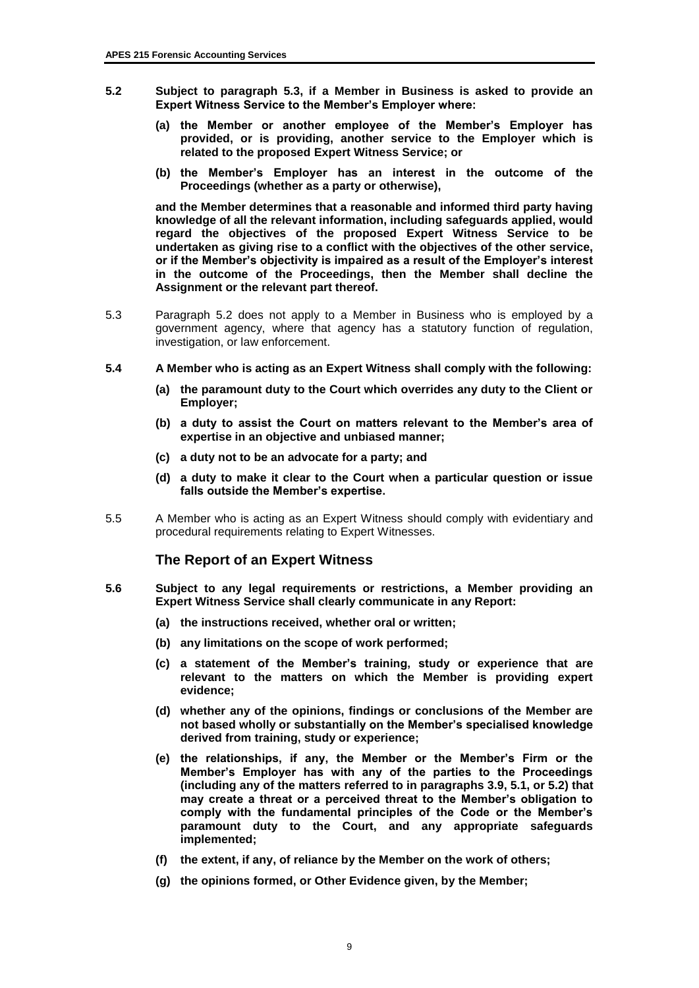- **5.2 Subject to paragraph 5.3, if a Member in Business is asked to provide an Expert Witness Service to the Member's Employer where:**
	- **(a) the Member or another employee of the Member's Employer has provided, or is providing, another service to the Employer which is related to the proposed Expert Witness Service; or**
	- **(b) the Member's Employer has an interest in the outcome of the Proceedings (whether as a party or otherwise),**

**and the Member determines that a reasonable and informed third party having knowledge of all the relevant information, including safeguards applied, would regard the objectives of the proposed Expert Witness Service to be undertaken as giving rise to a conflict with the objectives of the other service, or if the Member's objectivity is impaired as a result of the Employer's interest in the outcome of the Proceedings, then the Member shall decline the Assignment or the relevant part thereof.**

- 5.3 Paragraph 5.2 does not apply to a Member in Business who is employed by a government agency, where that agency has a statutory function of regulation, investigation, or law enforcement.
- **5.4 A Member who is acting as an Expert Witness shall comply with the following:**
	- **(a) the paramount duty to the Court which overrides any duty to the Client or Employer;**
	- **(b) a duty to assist the Court on matters relevant to the Member's area of expertise in an objective and unbiased manner;**
	- **(c) a duty not to be an advocate for a party; and**
	- **(d) a duty to make it clear to the Court when a particular question or issue falls outside the Member's expertise.**
- 5.5 A Member who is acting as an Expert Witness should comply with evidentiary and procedural requirements relating to Expert Witnesses.

#### **The Report of an Expert Witness**

- **5.6 Subject to any legal requirements or restrictions, a Member providing an Expert Witness Service shall clearly communicate in any Report:**
	- **(a) the instructions received, whether oral or written;**
	- **(b) any limitations on the scope of work performed;**
	- **(c) a statement of the Member's training, study or experience that are relevant to the matters on which the Member is providing expert evidence;**
	- **(d) whether any of the opinions, findings or conclusions of the Member are not based wholly or substantially on the Member's specialised knowledge derived from training, study or experience;**
	- **(e) the relationships, if any, the Member or the Member's Firm or the Member's Employer has with any of the parties to the Proceedings (including any of the matters referred to in paragraphs 3.9, 5.1, or 5.2) that may create a threat or a perceived threat to the Member's obligation to comply with the fundamental principles of the Code or the Member's paramount duty to the Court, and any appropriate safeguards implemented;**
	- **(f) the extent, if any, of reliance by the Member on the work of others;**
	- **(g) the opinions formed, or Other Evidence given, by the Member;**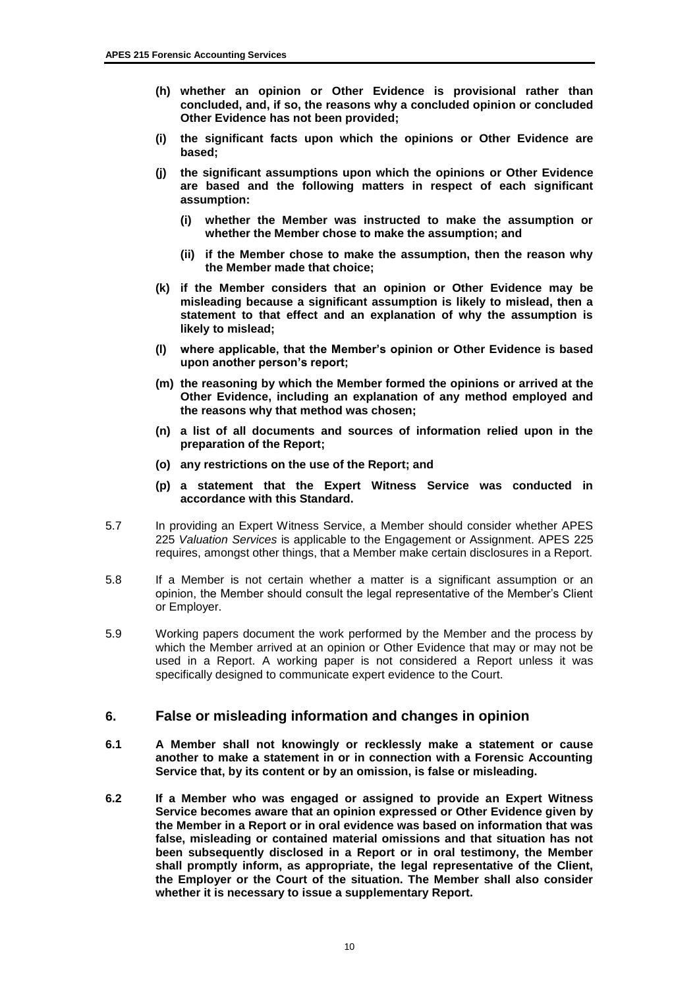- **(h) whether an opinion or Other Evidence is provisional rather than concluded, and, if so, the reasons why a concluded opinion or concluded Other Evidence has not been provided;**
- **(i) the significant facts upon which the opinions or Other Evidence are based;**
- **(j) the significant assumptions upon which the opinions or Other Evidence are based and the following matters in respect of each significant assumption:**
	- **(i) whether the Member was instructed to make the assumption or whether the Member chose to make the assumption; and**
	- **(ii) if the Member chose to make the assumption, then the reason why the Member made that choice;**
- **(k) if the Member considers that an opinion or Other Evidence may be misleading because a significant assumption is likely to mislead, then a statement to that effect and an explanation of why the assumption is likely to mislead;**
- **(l) where applicable, that the Member's opinion or Other Evidence is based upon another person's report;**
- **(m) the reasoning by which the Member formed the opinions or arrived at the Other Evidence, including an explanation of any method employed and the reasons why that method was chosen;**
- **(n) a list of all documents and sources of information relied upon in the preparation of the Report;**
- **(o) any restrictions on the use of the Report; and**
- **(p) a statement that the Expert Witness Service was conducted in accordance with this Standard.**
- 5.7 In providing an Expert Witness Service, a Member should consider whether APES 225 *Valuation Services* is applicable to the Engagement or Assignment. APES 225 requires, amongst other things, that a Member make certain disclosures in a Report.
- 5.8 If a Member is not certain whether a matter is a significant assumption or an opinion, the Member should consult the legal representative of the Member's Client or Employer.
- 5.9 Working papers document the work performed by the Member and the process by which the Member arrived at an opinion or Other Evidence that may or may not be used in a Report. A working paper is not considered a Report unless it was specifically designed to communicate expert evidence to the Court.

#### **6. False or misleading information and changes in opinion**

- **6.1 A Member shall not knowingly or recklessly make a statement or cause another to make a statement in or in connection with a Forensic Accounting Service that, by its content or by an omission, is false or misleading.**
- **6.2 If a Member who was engaged or assigned to provide an Expert Witness Service becomes aware that an opinion expressed or Other Evidence given by the Member in a Report or in oral evidence was based on information that was false, misleading or contained material omissions and that situation has not been subsequently disclosed in a Report or in oral testimony, the Member shall promptly inform, as appropriate, the legal representative of the Client, the Employer or the Court of the situation. The Member shall also consider whether it is necessary to issue a supplementary Report.**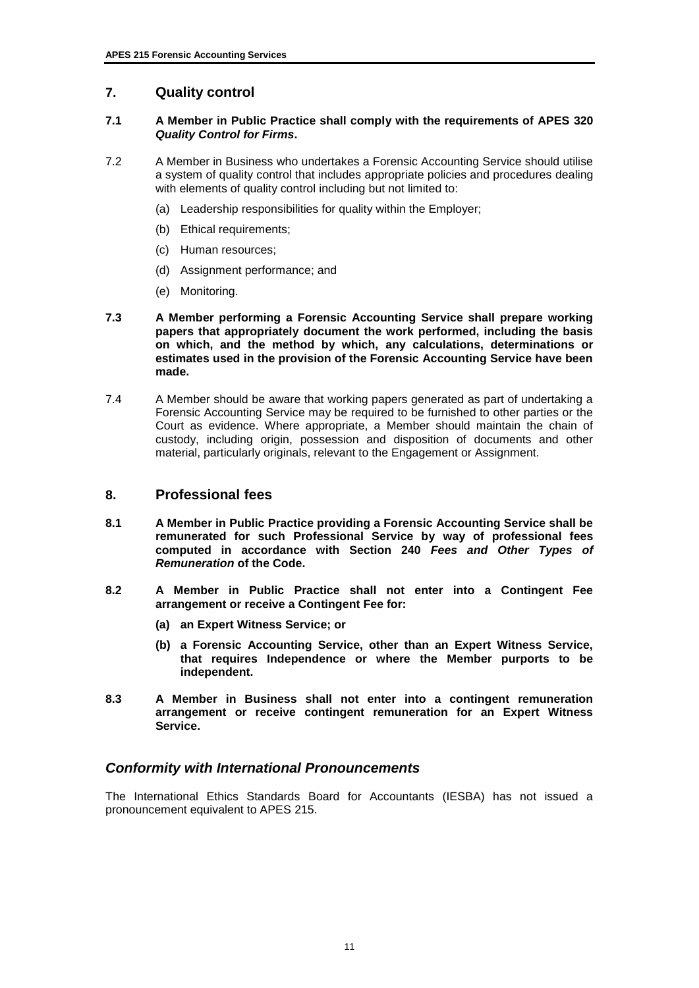## **7. Quality control**

#### **7.1 A Member in Public Practice shall comply with the requirements of APES 320**  *Quality Control for Firms***.**

- 7.2 A Member in Business who undertakes a Forensic Accounting Service should utilise a system of quality control that includes appropriate policies and procedures dealing with elements of quality control including but not limited to:
	- (a) Leadership responsibilities for quality within the Employer;
	- (b) Ethical requirements;
	- (c) Human resources;
	- (d) Assignment performance; and
	- (e) Monitoring.
- **7.3 A Member performing a Forensic Accounting Service shall prepare working papers that appropriately document the work performed, including the basis on which, and the method by which, any calculations, determinations or estimates used in the provision of the Forensic Accounting Service have been made.**
- 7.4 A Member should be aware that working papers generated as part of undertaking a Forensic Accounting Service may be required to be furnished to other parties or the Court as evidence. Where appropriate, a Member should maintain the chain of custody, including origin, possession and disposition of documents and other material, particularly originals, relevant to the Engagement or Assignment.

#### **8. Professional fees**

- **8.1 A Member in Public Practice providing a Forensic Accounting Service shall be remunerated for such Professional Service by way of professional fees computed in accordance with Section 240** *Fees and Other Types of Remuneration* **of the Code.**
- **8.2 A Member in Public Practice shall not enter into a Contingent Fee arrangement or receive a Contingent Fee for:** 
	- **(a) an Expert Witness Service; or**
	- **(b) a Forensic Accounting Service, other than an Expert Witness Service, that requires Independence or where the Member purports to be independent.**
- **8.3 A Member in Business shall not enter into a contingent remuneration arrangement or receive contingent remuneration for an Expert Witness Service.**

#### *Conformity with International Pronouncements*

The International Ethics Standards Board for Accountants (IESBA) has not issued a pronouncement equivalent to APES 215.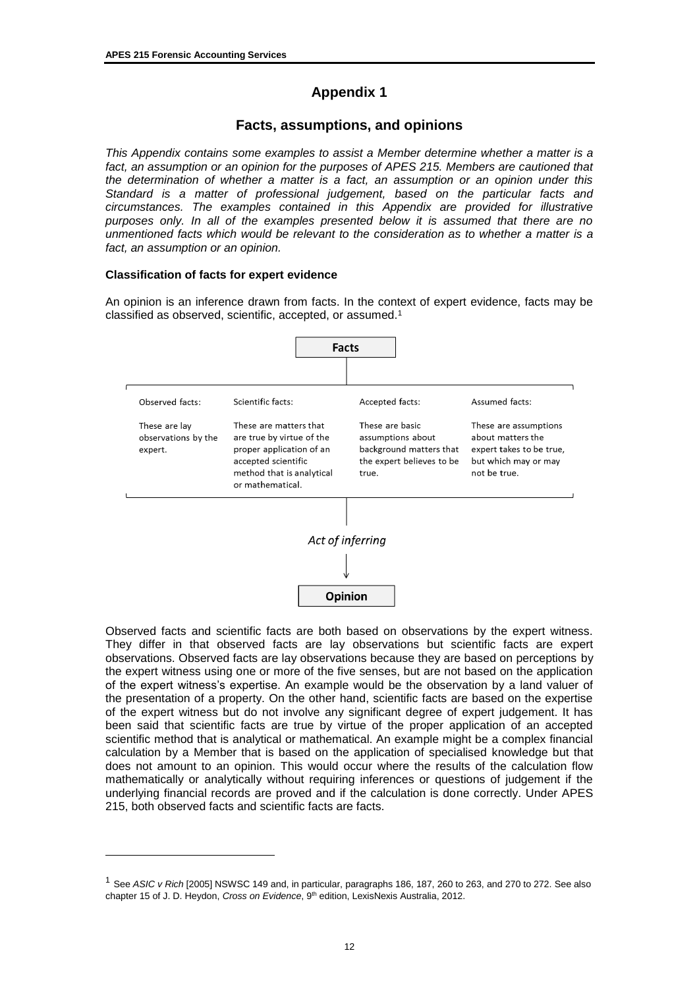# **Appendix 1**

## **Facts, assumptions, and opinions**

*This Appendix contains some examples to assist a Member determine whether a matter is a*  fact, an assumption or an opinion for the purposes of APES 215. Members are cautioned that *the determination of whether a matter is a fact, an assumption or an opinion under this Standard is a matter of professional judgement, based on the particular facts and circumstances. The examples contained in this Appendix are provided for illustrative purposes only. In all of the examples presented below it is assumed that there are no unmentioned facts which would be relevant to the consideration as to whether a matter is a fact, an assumption or an opinion.*

#### **Classification of facts for expert evidence**

 $\overline{a}$ 

An opinion is an inference drawn from facts. In the context of expert evidence, facts may be classified as observed, scientific, accepted, or assumed.<sup>1</sup>



Observed facts and scientific facts are both based on observations by the expert witness. They differ in that observed facts are lay observations but scientific facts are expert observations. Observed facts are lay observations because they are based on perceptions by the expert witness using one or more of the five senses, but are not based on the application of the expert witness's expertise. An example would be the observation by a land valuer of the presentation of a property. On the other hand, scientific facts are based on the expertise of the expert witness but do not involve any significant degree of expert judgement. It has been said that scientific facts are true by virtue of the proper application of an accepted scientific method that is analytical or mathematical. An example might be a complex financial calculation by a Member that is based on the application of specialised knowledge but that does not amount to an opinion. This would occur where the results of the calculation flow mathematically or analytically without requiring inferences or questions of judgement if the underlying financial records are proved and if the calculation is done correctly. Under APES 215, both observed facts and scientific facts are facts.

<sup>1</sup> See *ASIC v Rich* [2005] NSWSC 149 and, in particular, paragraphs 186, 187, 260 to 263, and 270 to 272. See also chapter 15 of J. D. Heydon, *Cross on Evidence*, 9th edition, LexisNexis Australia, 2012.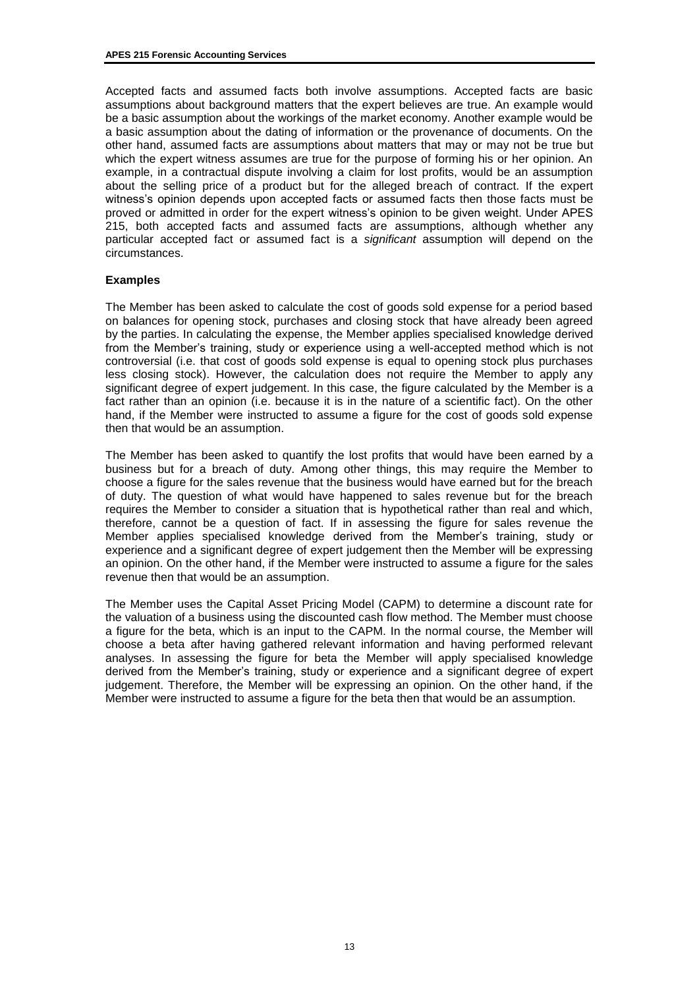Accepted facts and assumed facts both involve assumptions. Accepted facts are basic assumptions about background matters that the expert believes are true. An example would be a basic assumption about the workings of the market economy. Another example would be a basic assumption about the dating of information or the provenance of documents. On the other hand, assumed facts are assumptions about matters that may or may not be true but which the expert witness assumes are true for the purpose of forming his or her opinion. An example, in a contractual dispute involving a claim for lost profits, would be an assumption about the selling price of a product but for the alleged breach of contract. If the expert witness's opinion depends upon accepted facts or assumed facts then those facts must be proved or admitted in order for the expert witness's opinion to be given weight. Under APES 215, both accepted facts and assumed facts are assumptions, although whether any particular accepted fact or assumed fact is a *significant* assumption will depend on the circumstances.

#### **Examples**

The Member has been asked to calculate the cost of goods sold expense for a period based on balances for opening stock, purchases and closing stock that have already been agreed by the parties. In calculating the expense, the Member applies specialised knowledge derived from the Member's training, study or experience using a well-accepted method which is not controversial (i.e. that cost of goods sold expense is equal to opening stock plus purchases less closing stock). However, the calculation does not require the Member to apply any significant degree of expert judgement. In this case, the figure calculated by the Member is a fact rather than an opinion (i.e. because it is in the nature of a scientific fact). On the other hand, if the Member were instructed to assume a figure for the cost of goods sold expense then that would be an assumption.

The Member has been asked to quantify the lost profits that would have been earned by a business but for a breach of duty. Among other things, this may require the Member to choose a figure for the sales revenue that the business would have earned but for the breach of duty. The question of what would have happened to sales revenue but for the breach requires the Member to consider a situation that is hypothetical rather than real and which, therefore, cannot be a question of fact. If in assessing the figure for sales revenue the Member applies specialised knowledge derived from the Member's training, study or experience and a significant degree of expert judgement then the Member will be expressing an opinion. On the other hand, if the Member were instructed to assume a figure for the sales revenue then that would be an assumption.

The Member uses the Capital Asset Pricing Model (CAPM) to determine a discount rate for the valuation of a business using the discounted cash flow method. The Member must choose a figure for the beta, which is an input to the CAPM. In the normal course, the Member will choose a beta after having gathered relevant information and having performed relevant analyses. In assessing the figure for beta the Member will apply specialised knowledge derived from the Member's training, study or experience and a significant degree of expert judgement. Therefore, the Member will be expressing an opinion. On the other hand, if the Member were instructed to assume a figure for the beta then that would be an assumption.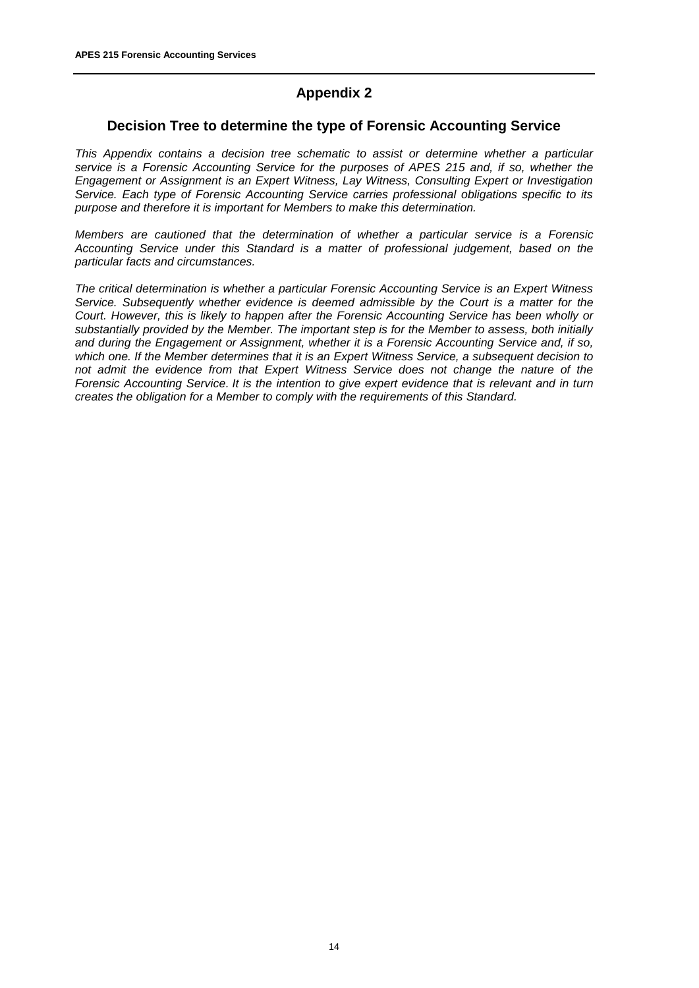# **Appendix 2**

### **Decision Tree to determine the type of Forensic Accounting Service**

*This Appendix contains a decision tree schematic to assist or determine whether a particular service is a Forensic Accounting Service for the purposes of APES 215 and, if so, whether the Engagement or Assignment is an Expert Witness, Lay Witness, Consulting Expert or Investigation Service. Each type of Forensic Accounting Service carries professional obligations specific to its purpose and therefore it is important for Members to make this determination.*

*Members are cautioned that the determination of whether a particular service is a Forensic Accounting Service under this Standard is a matter of professional judgement, based on the particular facts and circumstances.* 

*The critical determination is whether a particular Forensic Accounting Service is an Expert Witness Service. Subsequently whether evidence is deemed admissible by the Court is a matter for the Court. However, this is likely to happen after the Forensic Accounting Service has been wholly or substantially provided by the Member. The important step is for the Member to assess, both initially and during the Engagement or Assignment, whether it is a Forensic Accounting Service and, if so, which one. If the Member determines that it is an Expert Witness Service, a subsequent decision to not admit the evidence from that Expert Witness Service does not change the nature of the Forensic Accounting Service. It is the intention to give expert evidence that is relevant and in turn creates the obligation for a Member to comply with the requirements of this Standard.*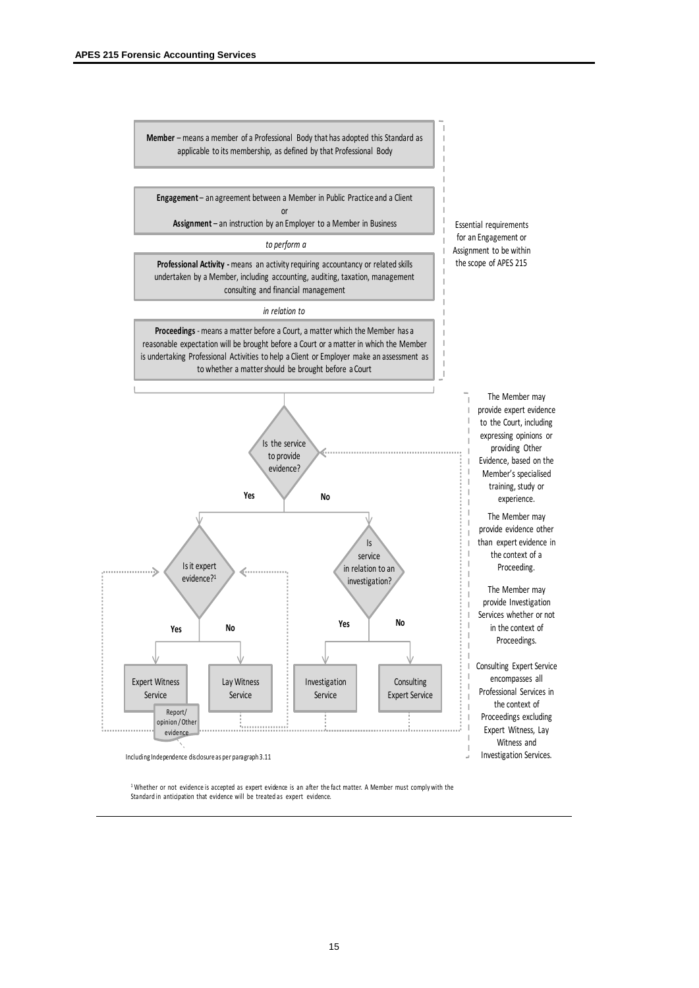

**Engagement** – an agreement between a Member in Public Practice and a Client or

**Assignment** – an instruction by an Employer to a Member in Business

*to perform a*

**Professional Activity -** means an activity requiring accountancy or related skills undertaken by a Member, including accounting, auditing, taxation, management consulting and financial management

#### *in relation to*

**Proceedings** - means a matter before a Court, a matter which the Member has a reasonable expectation will be brought before a Court or a matter in which the Member is undertaking Professional Activities to help a Client or Employer make an assessment as to whether a matter should be brought before a Court



Essential requirements for an Engagement or Assignment to be within the scope of APES 215

The Member may

providing Other

training, study or experience. The Member may

the context of a Proceeding. The Member may

in the context of Proceedings.

encompasses all

the context of

Witness and

Including Independence disclosure as per paragraph 3.11 and the state of the state of the state of the state of the state of the state of the state of the state of the state of the state of the state of the state of the st

<sup>1</sup> Whether or not evidence is accepted as expert evidence is an after the fact matter. A Member must comply with the Standard in anticipation that evidence will be treated as expert evidence.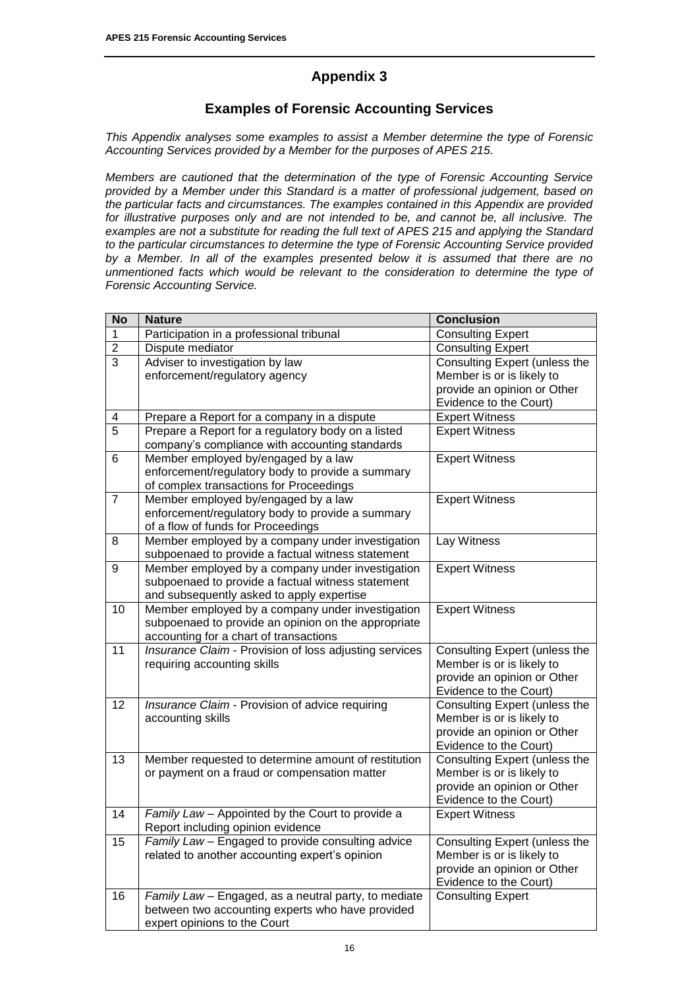# **Appendix 3**

# **Examples of Forensic Accounting Services**

*This Appendix analyses some examples to assist a Member determine the type of Forensic Accounting Services provided by a Member for the purposes of APES 215.* 

*Members are cautioned that the determination of the type of Forensic Accounting Service provided by a Member under this Standard is a matter of professional judgement, based on the particular facts and circumstances. The examples contained in this Appendix are provided for illustrative purposes only and are not intended to be, and cannot be, all inclusive. The examples are not a substitute for reading the full text of APES 215 and applying the Standard to the particular circumstances to determine the type of Forensic Accounting Service provided by a Member. In all of the examples presented below it is assumed that there are no unmentioned facts which would be relevant to the consideration to determine the type of Forensic Accounting Service.*

| <b>No</b>       | <b>Nature</b>                                                                                         | <b>Conclusion</b>             |
|-----------------|-------------------------------------------------------------------------------------------------------|-------------------------------|
| 1               | Participation in a professional tribunal                                                              | <b>Consulting Expert</b>      |
| $\overline{2}$  | Dispute mediator                                                                                      | <b>Consulting Expert</b>      |
| 3               | Adviser to investigation by law                                                                       | Consulting Expert (unless the |
|                 | enforcement/regulatory agency                                                                         | Member is or is likely to     |
|                 |                                                                                                       | provide an opinion or Other   |
|                 |                                                                                                       | Evidence to the Court)        |
| 4               | Prepare a Report for a company in a dispute                                                           | <b>Expert Witness</b>         |
| $\overline{5}$  | Prepare a Report for a regulatory body on a listed                                                    | <b>Expert Witness</b>         |
|                 | company's compliance with accounting standards                                                        |                               |
| 6               | Member employed by/engaged by a law                                                                   | <b>Expert Witness</b>         |
|                 | enforcement/regulatory body to provide a summary                                                      |                               |
|                 | of complex transactions for Proceedings                                                               |                               |
| $\overline{7}$  | Member employed by/engaged by a law                                                                   | <b>Expert Witness</b>         |
|                 | enforcement/regulatory body to provide a summary                                                      |                               |
|                 | of a flow of funds for Proceedings                                                                    |                               |
| 8               | Member employed by a company under investigation<br>subpoenaed to provide a factual witness statement | Lay Witness                   |
| 9               | Member employed by a company under investigation                                                      |                               |
|                 | subpoenaed to provide a factual witness statement                                                     | <b>Expert Witness</b>         |
|                 | and subsequently asked to apply expertise                                                             |                               |
| 10              | Member employed by a company under investigation                                                      | <b>Expert Witness</b>         |
|                 | subpoenaed to provide an opinion on the appropriate                                                   |                               |
|                 | accounting for a chart of transactions                                                                |                               |
| $\overline{11}$ | Insurance Claim - Provision of loss adjusting services                                                | Consulting Expert (unless the |
|                 | requiring accounting skills                                                                           | Member is or is likely to     |
|                 |                                                                                                       | provide an opinion or Other   |
|                 |                                                                                                       | Evidence to the Court)        |
| 12              | Insurance Claim - Provision of advice requiring                                                       | Consulting Expert (unless the |
|                 | accounting skills                                                                                     | Member is or is likely to     |
|                 |                                                                                                       | provide an opinion or Other   |
|                 |                                                                                                       | Evidence to the Court)        |
| 13              | Member requested to determine amount of restitution                                                   | Consulting Expert (unless the |
|                 | or payment on a fraud or compensation matter                                                          | Member is or is likely to     |
|                 |                                                                                                       | provide an opinion or Other   |
|                 |                                                                                                       | Evidence to the Court)        |
| 14              | Family Law - Appointed by the Court to provide a                                                      | <b>Expert Witness</b>         |
|                 | Report including opinion evidence                                                                     |                               |
| 15              | <i>Family Law</i> – Engaged to provide consulting advice                                              | Consulting Expert (unless the |
|                 | related to another accounting expert's opinion                                                        | Member is or is likely to     |
|                 |                                                                                                       | provide an opinion or Other   |
|                 |                                                                                                       | Evidence to the Court)        |
| 16              | Family Law - Engaged, as a neutral party, to mediate                                                  | <b>Consulting Expert</b>      |
|                 | between two accounting experts who have provided<br>expert opinions to the Court                      |                               |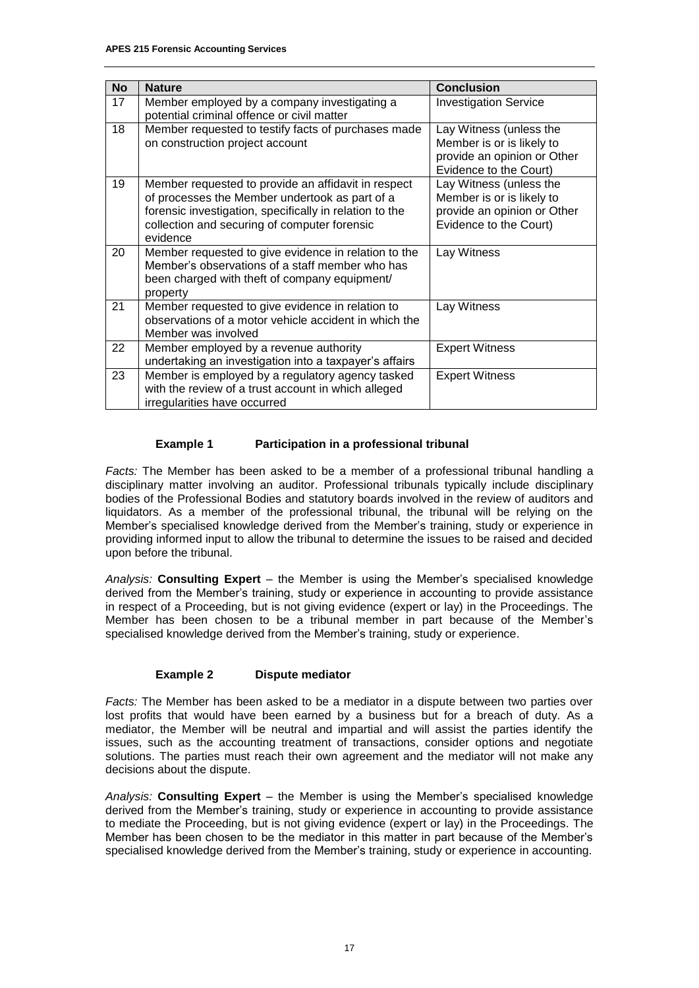| <b>No</b> | <b>Nature</b>                                                                                                                                                                                                                | <b>Conclusion</b>                                                                                             |
|-----------|------------------------------------------------------------------------------------------------------------------------------------------------------------------------------------------------------------------------------|---------------------------------------------------------------------------------------------------------------|
| 17        | Member employed by a company investigating a<br>potential criminal offence or civil matter                                                                                                                                   | <b>Investigation Service</b>                                                                                  |
| 18        | Member requested to testify facts of purchases made<br>on construction project account                                                                                                                                       | Lay Witness (unless the<br>Member is or is likely to<br>provide an opinion or Other<br>Evidence to the Court) |
| 19        | Member requested to provide an affidavit in respect<br>of processes the Member undertook as part of a<br>forensic investigation, specifically in relation to the<br>collection and securing of computer forensic<br>evidence | Lay Witness (unless the<br>Member is or is likely to<br>provide an opinion or Other<br>Evidence to the Court) |
| 20        | Member requested to give evidence in relation to the<br>Member's observations of a staff member who has<br>been charged with theft of company equipment/<br>property                                                         | Lay Witness                                                                                                   |
| 21        | Member requested to give evidence in relation to<br>observations of a motor vehicle accident in which the<br>Member was involved                                                                                             | Lay Witness                                                                                                   |
| 22        | Member employed by a revenue authority<br>undertaking an investigation into a taxpayer's affairs                                                                                                                             | <b>Expert Witness</b>                                                                                         |
| 23        | Member is employed by a regulatory agency tasked<br>with the review of a trust account in which alleged<br>irregularities have occurred                                                                                      | <b>Expert Witness</b>                                                                                         |

#### **Example 1 Participation in a professional tribunal**

*Facts:* The Member has been asked to be a member of a professional tribunal handling a disciplinary matter involving an auditor. Professional tribunals typically include disciplinary bodies of the Professional Bodies and statutory boards involved in the review of auditors and liquidators. As a member of the professional tribunal, the tribunal will be relying on the Member's specialised knowledge derived from the Member's training, study or experience in providing informed input to allow the tribunal to determine the issues to be raised and decided upon before the tribunal.

*Analysis:* **Consulting Expert** – the Member is using the Member's specialised knowledge derived from the Member's training, study or experience in accounting to provide assistance in respect of a Proceeding, but is not giving evidence (expert or lay) in the Proceedings. The Member has been chosen to be a tribunal member in part because of the Member's specialised knowledge derived from the Member's training, study or experience.

#### **Example 2 Dispute mediator**

*Facts:* The Member has been asked to be a mediator in a dispute between two parties over lost profits that would have been earned by a business but for a breach of duty. As a mediator, the Member will be neutral and impartial and will assist the parties identify the issues, such as the accounting treatment of transactions, consider options and negotiate solutions. The parties must reach their own agreement and the mediator will not make any decisions about the dispute.

*Analysis:* **Consulting Expert** – the Member is using the Member's specialised knowledge derived from the Member's training, study or experience in accounting to provide assistance to mediate the Proceeding, but is not giving evidence (expert or lay) in the Proceedings. The Member has been chosen to be the mediator in this matter in part because of the Member's specialised knowledge derived from the Member's training, study or experience in accounting.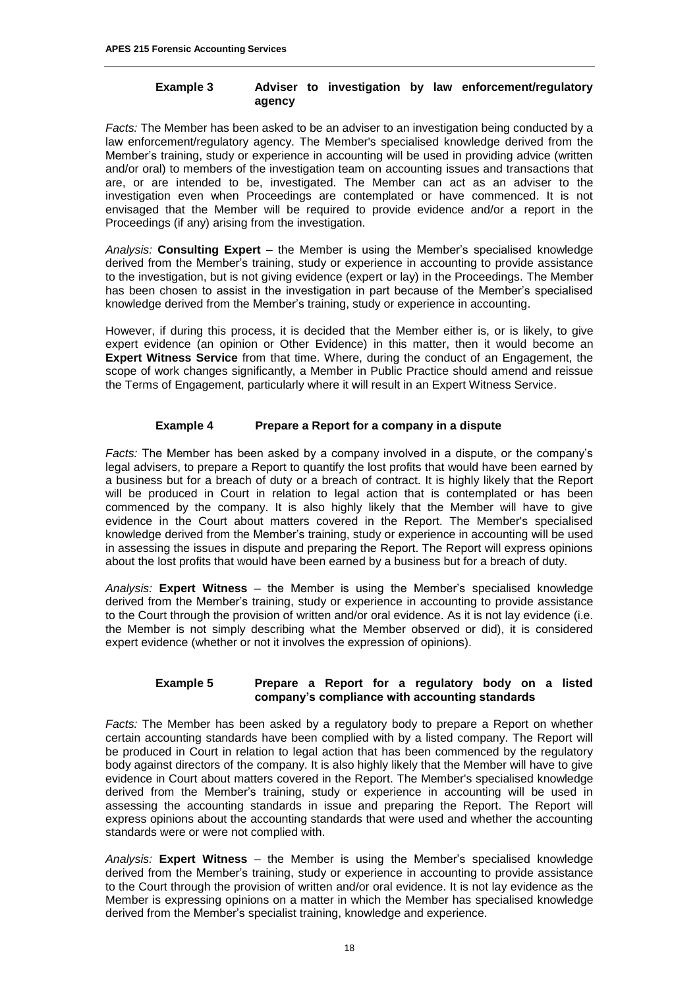#### **Example 3 Adviser to investigation by law enforcement/regulatory agency**

*Facts:* The Member has been asked to be an adviser to an investigation being conducted by a law enforcement/regulatory agency. The Member's specialised knowledge derived from the Member's training, study or experience in accounting will be used in providing advice (written and/or oral) to members of the investigation team on accounting issues and transactions that are, or are intended to be, investigated. The Member can act as an adviser to the investigation even when Proceedings are contemplated or have commenced. It is not envisaged that the Member will be required to provide evidence and/or a report in the Proceedings (if any) arising from the investigation.

*Analysis:* **Consulting Expert** – the Member is using the Member's specialised knowledge derived from the Member's training, study or experience in accounting to provide assistance to the investigation, but is not giving evidence (expert or lay) in the Proceedings. The Member has been chosen to assist in the investigation in part because of the Member's specialised knowledge derived from the Member's training, study or experience in accounting.

However, if during this process, it is decided that the Member either is, or is likely, to give expert evidence (an opinion or Other Evidence) in this matter, then it would become an **Expert Witness Service** from that time. Where, during the conduct of an Engagement, the scope of work changes significantly, a Member in Public Practice should amend and reissue the Terms of Engagement, particularly where it will result in an Expert Witness Service.

#### **Example 4 Prepare a Report for a company in a dispute**

*Facts:* The Member has been asked by a company involved in a dispute, or the company's legal advisers, to prepare a Report to quantify the lost profits that would have been earned by a business but for a breach of duty or a breach of contract. It is highly likely that the Report will be produced in Court in relation to legal action that is contemplated or has been commenced by the company. It is also highly likely that the Member will have to give evidence in the Court about matters covered in the Report. The Member's specialised knowledge derived from the Member's training, study or experience in accounting will be used in assessing the issues in dispute and preparing the Report. The Report will express opinions about the lost profits that would have been earned by a business but for a breach of duty.

*Analysis:* **Expert Witness** – the Member is using the Member's specialised knowledge derived from the Member's training, study or experience in accounting to provide assistance to the Court through the provision of written and/or oral evidence. As it is not lay evidence (i.e. the Member is not simply describing what the Member observed or did), it is considered expert evidence (whether or not it involves the expression of opinions).

#### **Example 5 Prepare a Report for a regulatory body on a listed company's compliance with accounting standards**

*Facts:* The Member has been asked by a regulatory body to prepare a Report on whether certain accounting standards have been complied with by a listed company. The Report will be produced in Court in relation to legal action that has been commenced by the regulatory body against directors of the company. It is also highly likely that the Member will have to give evidence in Court about matters covered in the Report. The Member's specialised knowledge derived from the Member's training, study or experience in accounting will be used in assessing the accounting standards in issue and preparing the Report. The Report will express opinions about the accounting standards that were used and whether the accounting standards were or were not complied with.

*Analysis:* **Expert Witness** – the Member is using the Member's specialised knowledge derived from the Member's training, study or experience in accounting to provide assistance to the Court through the provision of written and/or oral evidence. It is not lay evidence as the Member is expressing opinions on a matter in which the Member has specialised knowledge derived from the Member's specialist training, knowledge and experience.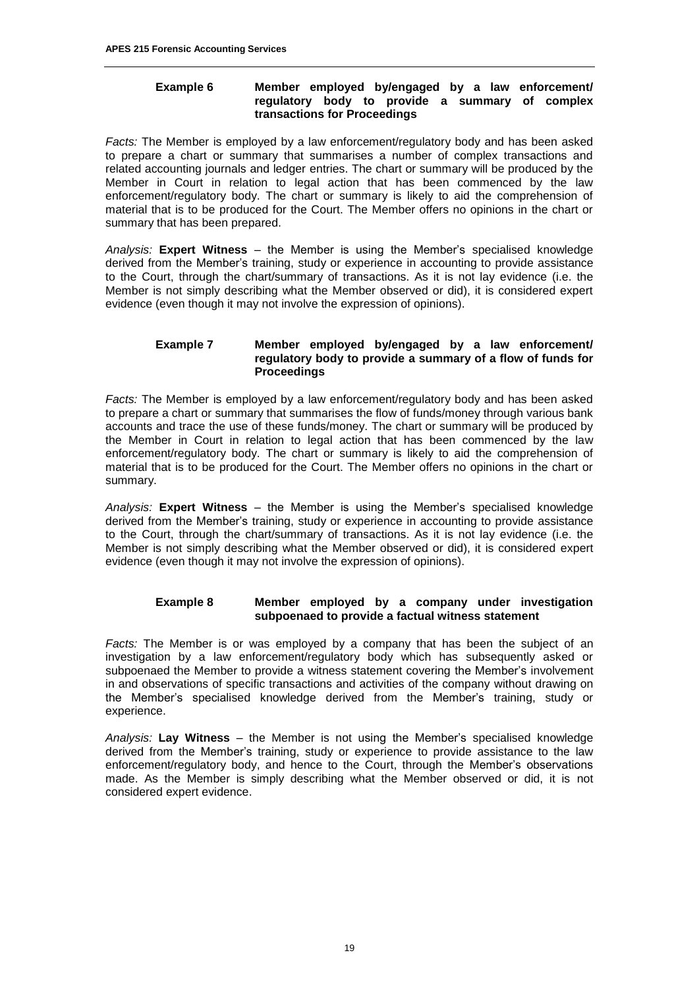#### **Example 6 Member employed by/engaged by a law enforcement/ regulatory body to provide a summary of complex transactions for Proceedings**

*Facts:* The Member is employed by a law enforcement/regulatory body and has been asked to prepare a chart or summary that summarises a number of complex transactions and related accounting journals and ledger entries. The chart or summary will be produced by the Member in Court in relation to legal action that has been commenced by the law enforcement/regulatory body. The chart or summary is likely to aid the comprehension of material that is to be produced for the Court. The Member offers no opinions in the chart or summary that has been prepared.

*Analysis:* **Expert Witness** – the Member is using the Member's specialised knowledge derived from the Member's training, study or experience in accounting to provide assistance to the Court, through the chart/summary of transactions. As it is not lay evidence (i.e. the Member is not simply describing what the Member observed or did), it is considered expert evidence (even though it may not involve the expression of opinions).

#### **Example 7 Member employed by/engaged by a law enforcement/ regulatory body to provide a summary of a flow of funds for Proceedings**

*Facts:* The Member is employed by a law enforcement/regulatory body and has been asked to prepare a chart or summary that summarises the flow of funds/money through various bank accounts and trace the use of these funds/money. The chart or summary will be produced by the Member in Court in relation to legal action that has been commenced by the law enforcement/regulatory body. The chart or summary is likely to aid the comprehension of material that is to be produced for the Court. The Member offers no opinions in the chart or summary.

*Analysis:* **Expert Witness** – the Member is using the Member's specialised knowledge derived from the Member's training, study or experience in accounting to provide assistance to the Court, through the chart/summary of transactions. As it is not lay evidence (i.e. the Member is not simply describing what the Member observed or did), it is considered expert evidence (even though it may not involve the expression of opinions).

#### **Example 8 Member employed by a company under investigation subpoenaed to provide a factual witness statement**

*Facts:* The Member is or was employed by a company that has been the subject of an investigation by a law enforcement/regulatory body which has subsequently asked or subpoenaed the Member to provide a witness statement covering the Member's involvement in and observations of specific transactions and activities of the company without drawing on the Member's specialised knowledge derived from the Member's training, study or experience.

*Analysis:* **Lay Witness** – the Member is not using the Member's specialised knowledge derived from the Member's training, study or experience to provide assistance to the law enforcement/regulatory body, and hence to the Court, through the Member's observations made. As the Member is simply describing what the Member observed or did, it is not considered expert evidence.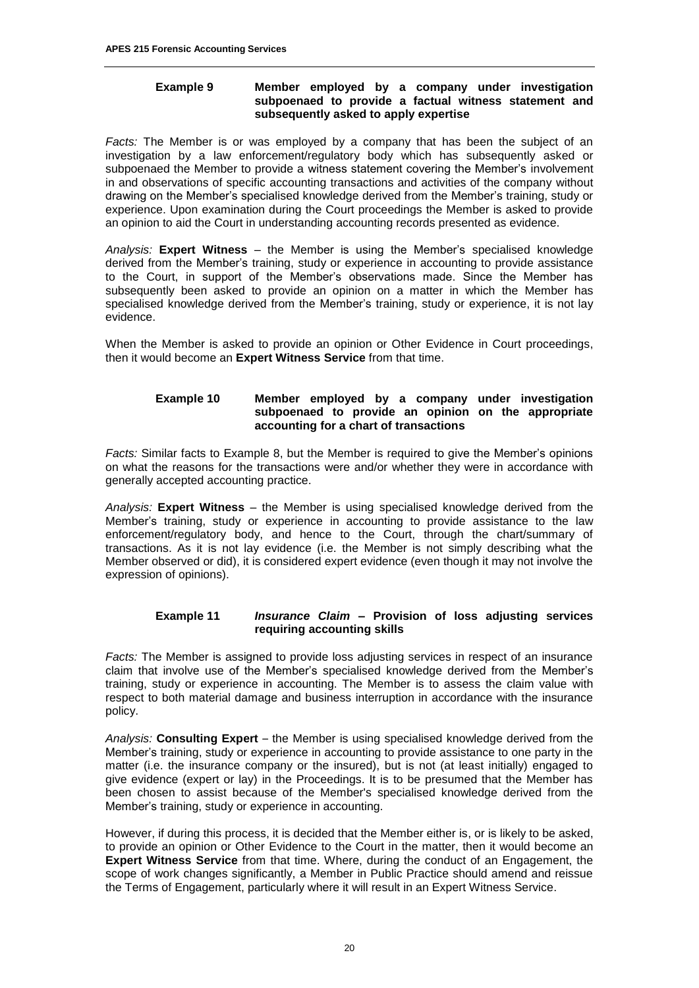#### **Example 9 Member employed by a company under investigation subpoenaed to provide a factual witness statement and subsequently asked to apply expertise**

*Facts:* The Member is or was employed by a company that has been the subject of an investigation by a law enforcement/regulatory body which has subsequently asked or subpoenaed the Member to provide a witness statement covering the Member's involvement in and observations of specific accounting transactions and activities of the company without drawing on the Member's specialised knowledge derived from the Member's training, study or experience. Upon examination during the Court proceedings the Member is asked to provide an opinion to aid the Court in understanding accounting records presented as evidence.

*Analysis:* **Expert Witness** – the Member is using the Member's specialised knowledge derived from the Member's training, study or experience in accounting to provide assistance to the Court, in support of the Member's observations made. Since the Member has subsequently been asked to provide an opinion on a matter in which the Member has specialised knowledge derived from the Member's training, study or experience, it is not lay evidence.

When the Member is asked to provide an opinion or Other Evidence in Court proceedings, then it would become an **Expert Witness Service** from that time.

#### **Example 10 Member employed by a company under investigation subpoenaed to provide an opinion on the appropriate accounting for a chart of transactions**

*Facts:* Similar facts to Example 8, but the Member is required to give the Member's opinions on what the reasons for the transactions were and/or whether they were in accordance with generally accepted accounting practice.

*Analysis:* **Expert Witness** – the Member is using specialised knowledge derived from the Member's training, study or experience in accounting to provide assistance to the law enforcement/regulatory body, and hence to the Court, through the chart/summary of transactions. As it is not lay evidence (i.e. the Member is not simply describing what the Member observed or did), it is considered expert evidence (even though it may not involve the expression of opinions).

#### **Example 11** *Insurance Claim –* **Provision of loss adjusting services requiring accounting skills**

*Facts:* The Member is assigned to provide loss adjusting services in respect of an insurance claim that involve use of the Member's specialised knowledge derived from the Member's training, study or experience in accounting. The Member is to assess the claim value with respect to both material damage and business interruption in accordance with the insurance policy.

*Analysis:* **Consulting Expert** – the Member is using specialised knowledge derived from the Member's training, study or experience in accounting to provide assistance to one party in the matter (i.e. the insurance company or the insured), but is not (at least initially) engaged to give evidence (expert or lay) in the Proceedings. It is to be presumed that the Member has been chosen to assist because of the Member's specialised knowledge derived from the Member's training, study or experience in accounting.

However, if during this process, it is decided that the Member either is, or is likely to be asked, to provide an opinion or Other Evidence to the Court in the matter, then it would become an **Expert Witness Service** from that time. Where, during the conduct of an Engagement, the scope of work changes significantly, a Member in Public Practice should amend and reissue the Terms of Engagement, particularly where it will result in an Expert Witness Service.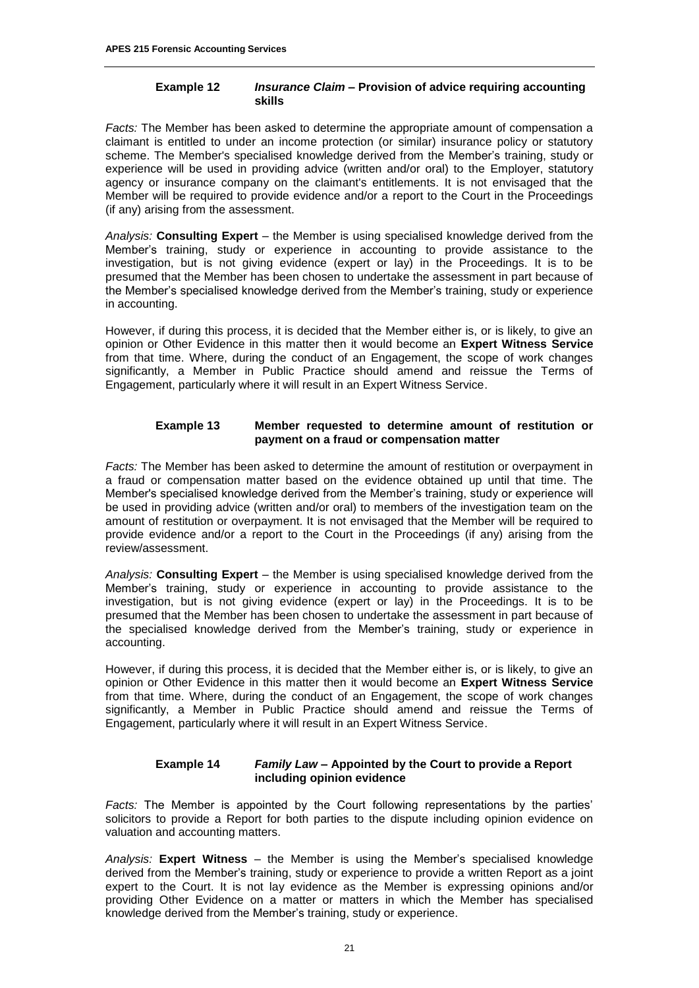#### **Example 12** *Insurance Claim* **– Provision of advice requiring accounting skills**

*Facts:* The Member has been asked to determine the appropriate amount of compensation a claimant is entitled to under an income protection (or similar) insurance policy or statutory scheme. The Member's specialised knowledge derived from the Member's training, study or experience will be used in providing advice (written and/or oral) to the Employer, statutory agency or insurance company on the claimant's entitlements. It is not envisaged that the Member will be required to provide evidence and/or a report to the Court in the Proceedings (if any) arising from the assessment.

*Analysis:* **Consulting Expert** – the Member is using specialised knowledge derived from the Member's training, study or experience in accounting to provide assistance to the investigation, but is not giving evidence (expert or lay) in the Proceedings. It is to be presumed that the Member has been chosen to undertake the assessment in part because of the Member's specialised knowledge derived from the Member's training, study or experience in accounting.

However, if during this process, it is decided that the Member either is, or is likely, to give an opinion or Other Evidence in this matter then it would become an **Expert Witness Service**  from that time. Where, during the conduct of an Engagement, the scope of work changes significantly, a Member in Public Practice should amend and reissue the Terms of Engagement, particularly where it will result in an Expert Witness Service.

#### **Example 13 Member requested to determine amount of restitution or payment on a fraud or compensation matter**

*Facts:* The Member has been asked to determine the amount of restitution or overpayment in a fraud or compensation matter based on the evidence obtained up until that time. The Member's specialised knowledge derived from the Member's training, study or experience will be used in providing advice (written and/or oral) to members of the investigation team on the amount of restitution or overpayment. It is not envisaged that the Member will be required to provide evidence and/or a report to the Court in the Proceedings (if any) arising from the review/assessment.

*Analysis:* **Consulting Expert** – the Member is using specialised knowledge derived from the Member's training, study or experience in accounting to provide assistance to the investigation, but is not giving evidence (expert or lay) in the Proceedings. It is to be presumed that the Member has been chosen to undertake the assessment in part because of the specialised knowledge derived from the Member's training, study or experience in accounting.

However, if during this process, it is decided that the Member either is, or is likely, to give an opinion or Other Evidence in this matter then it would become an **Expert Witness Service** from that time. Where, during the conduct of an Engagement, the scope of work changes significantly, a Member in Public Practice should amend and reissue the Terms of Engagement, particularly where it will result in an Expert Witness Service.

#### **Example 14** *Family Law –* **Appointed by the Court to provide a Report including opinion evidence**

*Facts:* The Member is appointed by the Court following representations by the parties' solicitors to provide a Report for both parties to the dispute including opinion evidence on valuation and accounting matters.

*Analysis:* **Expert Witness** – the Member is using the Member's specialised knowledge derived from the Member's training, study or experience to provide a written Report as a joint expert to the Court. It is not lay evidence as the Member is expressing opinions and/or providing Other Evidence on a matter or matters in which the Member has specialised knowledge derived from the Member's training, study or experience.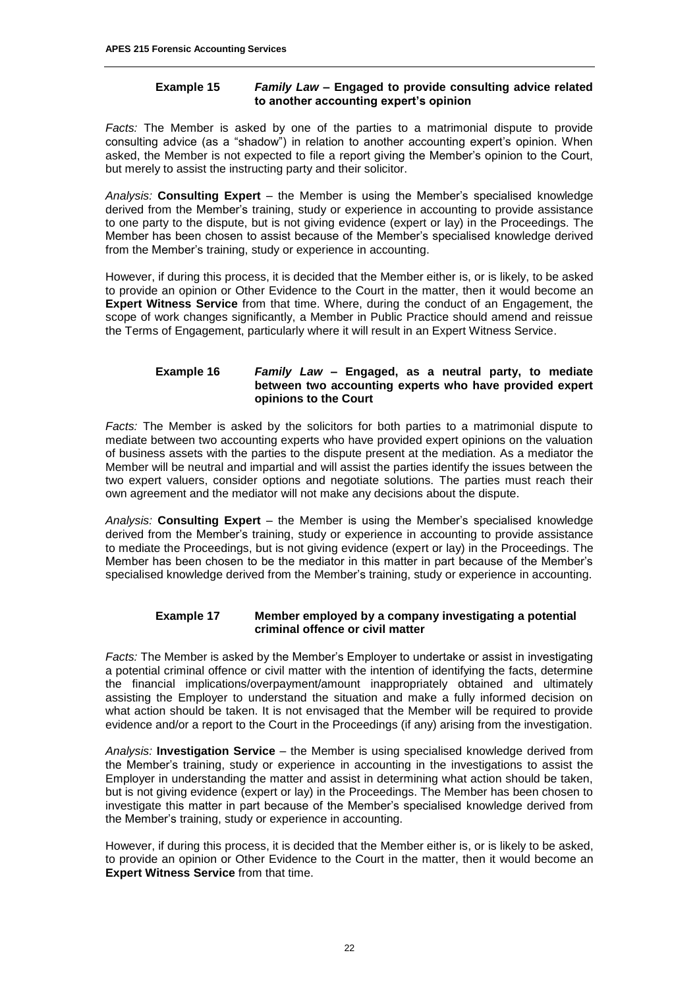#### **Example 15** *Family Law –* **Engaged to provide consulting advice related to another accounting expert's opinion**

*Facts:* The Member is asked by one of the parties to a matrimonial dispute to provide consulting advice (as a "shadow") in relation to another accounting expert's opinion. When asked, the Member is not expected to file a report giving the Member's opinion to the Court, but merely to assist the instructing party and their solicitor.

*Analysis:* **Consulting Expert** – the Member is using the Member's specialised knowledge derived from the Member's training, study or experience in accounting to provide assistance to one party to the dispute, but is not giving evidence (expert or lay) in the Proceedings. The Member has been chosen to assist because of the Member's specialised knowledge derived from the Member's training, study or experience in accounting.

However, if during this process, it is decided that the Member either is, or is likely, to be asked to provide an opinion or Other Evidence to the Court in the matter, then it would become an **Expert Witness Service** from that time. Where, during the conduct of an Engagement, the scope of work changes significantly, a Member in Public Practice should amend and reissue the Terms of Engagement, particularly where it will result in an Expert Witness Service.

#### **Example 16** *Family Law –* **Engaged, as a neutral party, to mediate between two accounting experts who have provided expert opinions to the Court**

*Facts:* The Member is asked by the solicitors for both parties to a matrimonial dispute to mediate between two accounting experts who have provided expert opinions on the valuation of business assets with the parties to the dispute present at the mediation. As a mediator the Member will be neutral and impartial and will assist the parties identify the issues between the two expert valuers, consider options and negotiate solutions. The parties must reach their own agreement and the mediator will not make any decisions about the dispute.

*Analysis:* **Consulting Expert** – the Member is using the Member's specialised knowledge derived from the Member's training, study or experience in accounting to provide assistance to mediate the Proceedings, but is not giving evidence (expert or lay) in the Proceedings. The Member has been chosen to be the mediator in this matter in part because of the Member's specialised knowledge derived from the Member's training, study or experience in accounting.

#### **Example 17 Member employed by a company investigating a potential criminal offence or civil matter**

*Facts:* The Member is asked by the Member's Employer to undertake or assist in investigating a potential criminal offence or civil matter with the intention of identifying the facts, determine the financial implications/overpayment/amount inappropriately obtained and ultimately assisting the Employer to understand the situation and make a fully informed decision on what action should be taken. It is not envisaged that the Member will be required to provide evidence and/or a report to the Court in the Proceedings (if any) arising from the investigation.

*Analysis:* **Investigation Service** – the Member is using specialised knowledge derived from the Member's training, study or experience in accounting in the investigations to assist the Employer in understanding the matter and assist in determining what action should be taken, but is not giving evidence (expert or lay) in the Proceedings. The Member has been chosen to investigate this matter in part because of the Member's specialised knowledge derived from the Member's training, study or experience in accounting.

However, if during this process, it is decided that the Member either is, or is likely to be asked, to provide an opinion or Other Evidence to the Court in the matter, then it would become an **Expert Witness Service** from that time.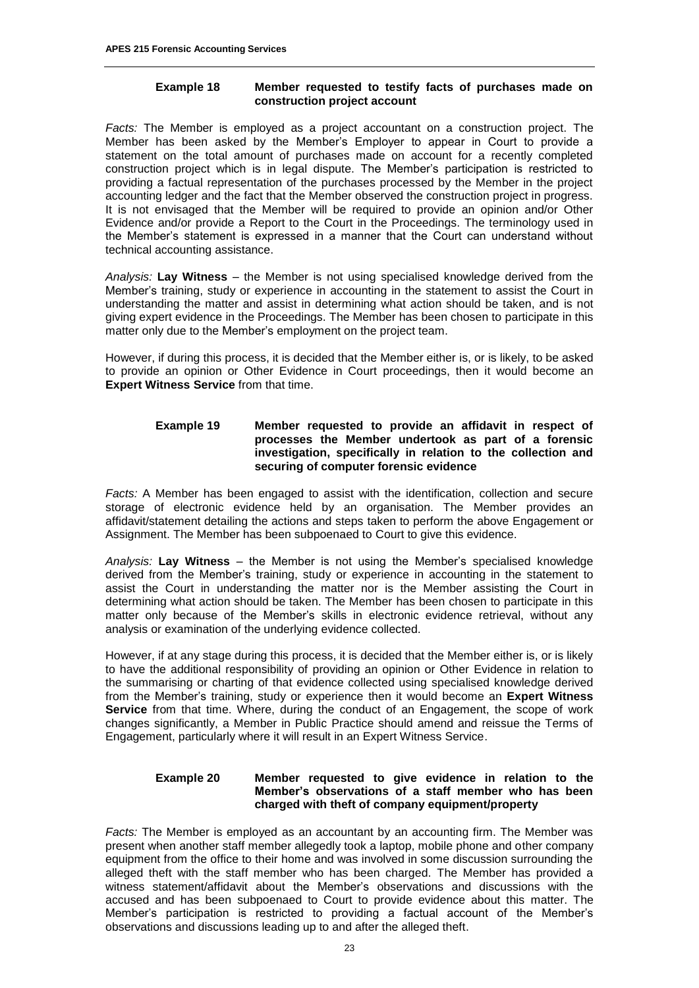#### **Example 18 Member requested to testify facts of purchases made on construction project account**

*Facts:* The Member is employed as a project accountant on a construction project. The Member has been asked by the Member's Employer to appear in Court to provide a statement on the total amount of purchases made on account for a recently completed construction project which is in legal dispute. The Member's participation is restricted to providing a factual representation of the purchases processed by the Member in the project accounting ledger and the fact that the Member observed the construction project in progress. It is not envisaged that the Member will be required to provide an opinion and/or Other Evidence and/or provide a Report to the Court in the Proceedings. The terminology used in the Member's statement is expressed in a manner that the Court can understand without technical accounting assistance.

*Analysis:* **Lay Witness** – the Member is not using specialised knowledge derived from the Member's training, study or experience in accounting in the statement to assist the Court in understanding the matter and assist in determining what action should be taken, and is not giving expert evidence in the Proceedings. The Member has been chosen to participate in this matter only due to the Member's employment on the project team.

However, if during this process, it is decided that the Member either is, or is likely, to be asked to provide an opinion or Other Evidence in Court proceedings, then it would become an **Expert Witness Service** from that time.

#### **Example 19 Member requested to provide an affidavit in respect of processes the Member undertook as part of a forensic investigation, specifically in relation to the collection and securing of computer forensic evidence**

*Facts:* A Member has been engaged to assist with the identification, collection and secure storage of electronic evidence held by an organisation. The Member provides an affidavit/statement detailing the actions and steps taken to perform the above Engagement or Assignment. The Member has been subpoenaed to Court to give this evidence.

*Analysis:* **Lay Witness** – the Member is not using the Member's specialised knowledge derived from the Member's training, study or experience in accounting in the statement to assist the Court in understanding the matter nor is the Member assisting the Court in determining what action should be taken. The Member has been chosen to participate in this matter only because of the Member's skills in electronic evidence retrieval, without any analysis or examination of the underlying evidence collected.

However, if at any stage during this process, it is decided that the Member either is, or is likely to have the additional responsibility of providing an opinion or Other Evidence in relation to the summarising or charting of that evidence collected using specialised knowledge derived from the Member's training, study or experience then it would become an **Expert Witness Service** from that time. Where, during the conduct of an Engagement, the scope of work changes significantly, a Member in Public Practice should amend and reissue the Terms of Engagement, particularly where it will result in an Expert Witness Service.

#### **Example 20 Member requested to give evidence in relation to the Member's observations of a staff member who has been charged with theft of company equipment/property**

*Facts:* The Member is employed as an accountant by an accounting firm. The Member was present when another staff member allegedly took a laptop, mobile phone and other company equipment from the office to their home and was involved in some discussion surrounding the alleged theft with the staff member who has been charged. The Member has provided a witness statement/affidavit about the Member's observations and discussions with the accused and has been subpoenaed to Court to provide evidence about this matter. The Member's participation is restricted to providing a factual account of the Member's observations and discussions leading up to and after the alleged theft.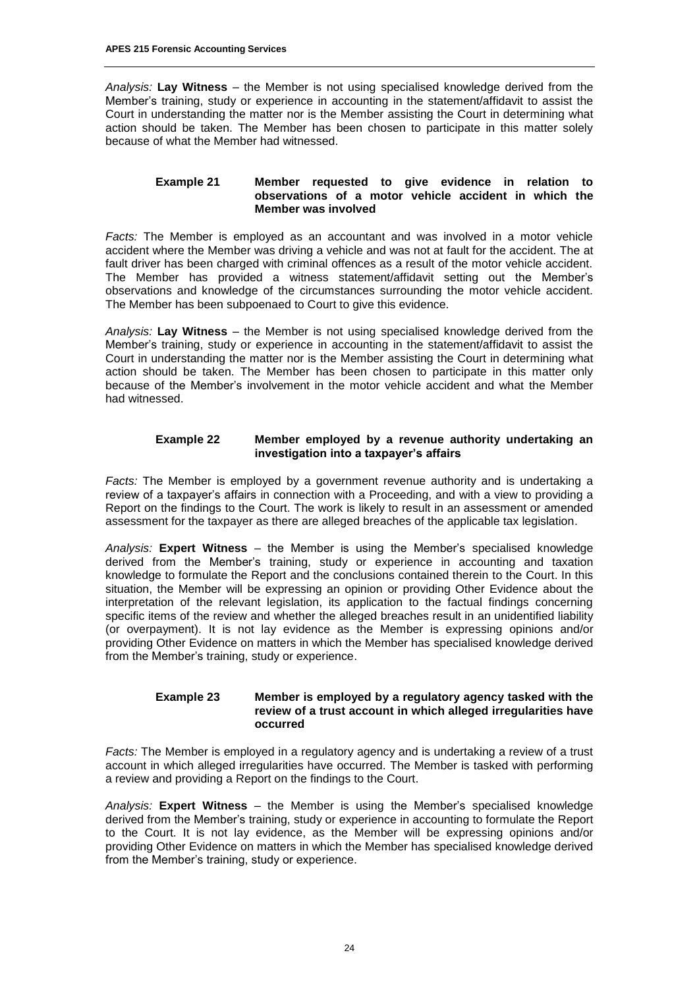*Analysis:* **Lay Witness** – the Member is not using specialised knowledge derived from the Member's training, study or experience in accounting in the statement/affidavit to assist the Court in understanding the matter nor is the Member assisting the Court in determining what action should be taken. The Member has been chosen to participate in this matter solely because of what the Member had witnessed.

#### **Example 21 Member requested to give evidence in relation to observations of a motor vehicle accident in which the Member was involved**

*Facts:* The Member is employed as an accountant and was involved in a motor vehicle accident where the Member was driving a vehicle and was not at fault for the accident. The at fault driver has been charged with criminal offences as a result of the motor vehicle accident. The Member has provided a witness statement/affidavit setting out the Member's observations and knowledge of the circumstances surrounding the motor vehicle accident. The Member has been subpoenaed to Court to give this evidence.

*Analysis:* **Lay Witness** – the Member is not using specialised knowledge derived from the Member's training, study or experience in accounting in the statement/affidavit to assist the Court in understanding the matter nor is the Member assisting the Court in determining what action should be taken. The Member has been chosen to participate in this matter only because of the Member's involvement in the motor vehicle accident and what the Member had witnessed.

#### **Example 22 Member employed by a revenue authority undertaking an investigation into a taxpayer's affairs**

*Facts:* The Member is employed by a government revenue authority and is undertaking a review of a taxpayer's affairs in connection with a Proceeding, and with a view to providing a Report on the findings to the Court. The work is likely to result in an assessment or amended assessment for the taxpayer as there are alleged breaches of the applicable tax legislation.

*Analysis:* **Expert Witness** – the Member is using the Member's specialised knowledge derived from the Member's training, study or experience in accounting and taxation knowledge to formulate the Report and the conclusions contained therein to the Court. In this situation, the Member will be expressing an opinion or providing Other Evidence about the interpretation of the relevant legislation, its application to the factual findings concerning specific items of the review and whether the alleged breaches result in an unidentified liability (or overpayment). It is not lay evidence as the Member is expressing opinions and/or providing Other Evidence on matters in which the Member has specialised knowledge derived from the Member's training, study or experience.

#### **Example 23 Member is employed by a regulatory agency tasked with the review of a trust account in which alleged irregularities have occurred**

*Facts:* The Member is employed in a regulatory agency and is undertaking a review of a trust account in which alleged irregularities have occurred. The Member is tasked with performing a review and providing a Report on the findings to the Court.

*Analysis:* **Expert Witness** – the Member is using the Member's specialised knowledge derived from the Member's training, study or experience in accounting to formulate the Report to the Court. It is not lay evidence, as the Member will be expressing opinions and/or providing Other Evidence on matters in which the Member has specialised knowledge derived from the Member's training, study or experience.